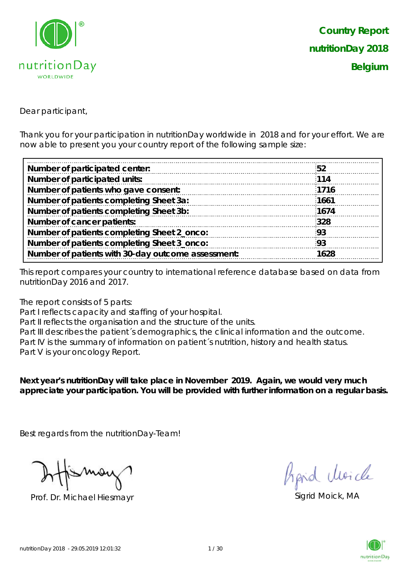

Dear participant,

Thank you for your participation in nutritionDay worldwide in 2018 and for your effort. We are now able to present you your country report of the following sample size:

| Number of participated center:                     | .52  |
|----------------------------------------------------|------|
| Number of participated units:                      | 114  |
| Number of patients who gave consent:               | 1716 |
| Number of patients completing Sheet 3a:            | 1661 |
|                                                    | 1674 |
| Number of patients completing Sheet 3b:            |      |
| Number of cancer patients:                         | 328  |
| Number of patients completing Sheet 2_onco:        | 93   |
| Number of patients completing Sheet 3_onco:        | -93  |
| Number of patients with 30-day outcome assessment: | 1628 |

This report compares your country to international reference database based on data from nutritionDay 2016 and 2017.

The report consists of 5 parts:

Part I reflects capacity and staffing of your hospital.

Part II reflects the organisation and the structure of the units.

Part III describes the patient´s demographics, the clinical information and the outcome. Part IV is the summary of information on patient's nutrition, history and health status. Part V is your oncology Report.

**Next year's nutritionDay will take place in November 2019. Again, we would very much appreciate your participation. You will be provided with further information on a regular basis.**

Best regards from the nutritionDay-Team!

Prof. Dr. Michael Hiesmayr Sigrid Moick, MA

fraid Moich

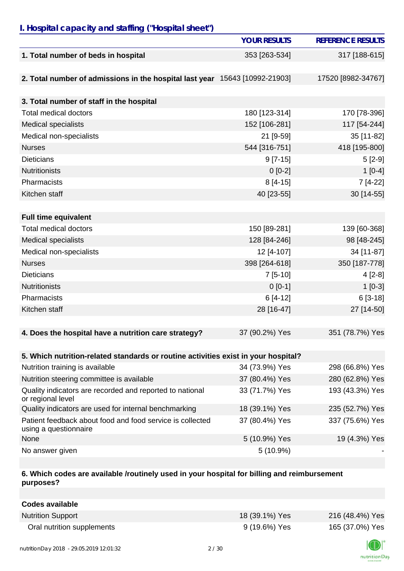# *I. Hospital capacity and staffing ("Hospital sheet")*

|                                                                                    | <b>YOUR RESULTS</b> | <b>REFERENCE RESULTS</b> |
|------------------------------------------------------------------------------------|---------------------|--------------------------|
| 1. Total number of beds in hospital                                                | 353 [263-534]       | 317 [188-615]            |
|                                                                                    |                     |                          |
| 2. Total number of admissions in the hospital last year 15643 [10992-21903]        |                     | 17520 [8982-34767]       |
|                                                                                    |                     |                          |
| 3. Total number of staff in the hospital                                           |                     |                          |
| <b>Total medical doctors</b>                                                       | 180 [123-314]       | 170 [78-396]             |
| Medical specialists                                                                | 152 [106-281]       | 117 [54-244]             |
| Medical non-specialists                                                            | 21 [9-59]           | 35 [11-82]               |
| <b>Nurses</b>                                                                      | 544 [316-751]       | 418 [195-800]            |
| <b>Dieticians</b>                                                                  | $9 [7-15]$          | $5[2-9]$                 |
| <b>Nutritionists</b>                                                               | $0[0-2]$            | $1[0-4]$                 |
| Pharmacists                                                                        | $8[4-15]$           | 7 [4-22]                 |
| Kitchen staff                                                                      | 40 [23-55]          | 30 [14-55]               |
|                                                                                    |                     |                          |
| <b>Full time equivalent</b>                                                        |                     |                          |
| <b>Total medical doctors</b>                                                       | 150 [89-281]        | 139 [60-368]             |
| <b>Medical specialists</b>                                                         | 128 [84-246]        | 98 [48-245]              |
| Medical non-specialists                                                            | 12 [4-107]          | 34 [11-87]               |
| <b>Nurses</b>                                                                      | 398 [264-618]       | 350 [187-778]            |
| <b>Dieticians</b>                                                                  | $7[5-10]$           | $4[2-8]$                 |
| <b>Nutritionists</b>                                                               | $0 [0-1]$           | $1[0-3]$                 |
| Pharmacists                                                                        | $6[4-12]$           | $6[3-18]$                |
| Kitchen staff                                                                      | 28 [16-47]          | 27 [14-50]               |
|                                                                                    |                     |                          |
| 4. Does the hospital have a nutrition care strategy?                               | 37 (90.2%) Yes      | 351 (78.7%) Yes          |
|                                                                                    |                     |                          |
| 5. Which nutrition-related standards or routine activities exist in your hospital? |                     |                          |
| Nutrition training is available                                                    | 34 (73.9%) Yes      | 298 (66.8%) Yes          |
| Nutrition steering committee is available                                          | 37 (80.4%) Yes      | 280 (62.8%) Yes          |
| Quality indicators are recorded and reported to national<br>or regional level      | 33 (71.7%) Yes      | 193 (43.3%) Yes          |
| Quality indicators are used for internal benchmarking                              | 18 (39.1%) Yes      | 235 (52.7%) Yes          |
| Patient feedback about food and food service is collected<br>using a questionnaire | 37 (80.4%) Yes      | 337 (75.6%) Yes          |
| None                                                                               | 5 (10.9%) Yes       | 19 (4.3%) Yes            |
| No answer given                                                                    | 5 (10.9%)           |                          |

## **6. Which codes are available /routinely used in your hospital for billing and reimbursement purposes?**

| <b>Codes available</b>     |                |                 |
|----------------------------|----------------|-----------------|
| <b>Nutrition Support</b>   | 18 (39.1%) Yes | 216 (48.4%) Yes |
| Oral nutrition supplements | 9 (19.6%) Yes  | 165 (37.0%) Yes |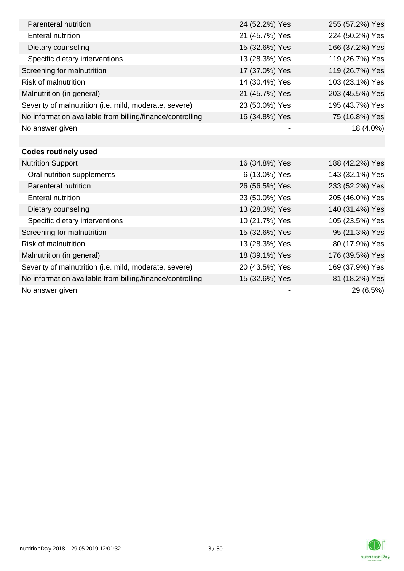| Parenteral nutrition                                      | 24 (52.2%) Yes | 255 (57.2%) Yes |
|-----------------------------------------------------------|----------------|-----------------|
| <b>Enteral nutrition</b>                                  | 21 (45.7%) Yes | 224 (50.2%) Yes |
| Dietary counseling                                        | 15 (32.6%) Yes | 166 (37.2%) Yes |
| Specific dietary interventions                            | 13 (28.3%) Yes | 119 (26.7%) Yes |
| Screening for malnutrition                                | 17 (37.0%) Yes | 119 (26.7%) Yes |
| Risk of malnutrition                                      | 14 (30.4%) Yes | 103 (23.1%) Yes |
| Malnutrition (in general)                                 | 21 (45.7%) Yes | 203 (45.5%) Yes |
| Severity of malnutrition (i.e. mild, moderate, severe)    | 23 (50.0%) Yes | 195 (43.7%) Yes |
| No information available from billing/finance/controlling | 16 (34.8%) Yes | 75 (16.8%) Yes  |
| No answer given                                           |                | 18 (4.0%)       |
|                                                           |                |                 |
| <b>Codes routinely used</b>                               |                |                 |
| <b>Nutrition Support</b>                                  | 16 (34.8%) Yes | 188 (42.2%) Yes |
| Oral nutrition supplements                                | 6 (13.0%) Yes  | 143 (32.1%) Yes |
| Parenteral nutrition                                      | 26 (56.5%) Yes | 233 (52.2%) Yes |
| <b>Enteral nutrition</b>                                  | 23 (50.0%) Yes | 205 (46.0%) Yes |
| Dietary counseling                                        | 13 (28.3%) Yes | 140 (31.4%) Yes |
| Specific dietary interventions                            | 10 (21.7%) Yes | 105 (23.5%) Yes |
| Screening for malnutrition                                | 15 (32.6%) Yes | 95 (21.3%) Yes  |
| <b>Risk of malnutrition</b>                               | 13 (28.3%) Yes | 80 (17.9%) Yes  |
| Malnutrition (in general)                                 | 18 (39.1%) Yes | 176 (39.5%) Yes |
| Severity of malnutrition (i.e. mild, moderate, severe)    | 20 (43.5%) Yes | 169 (37.9%) Yes |
| No information available from billing/finance/controlling | 15 (32.6%) Yes | 81 (18.2%) Yes  |
| No answer given                                           |                | 29 (6.5%)       |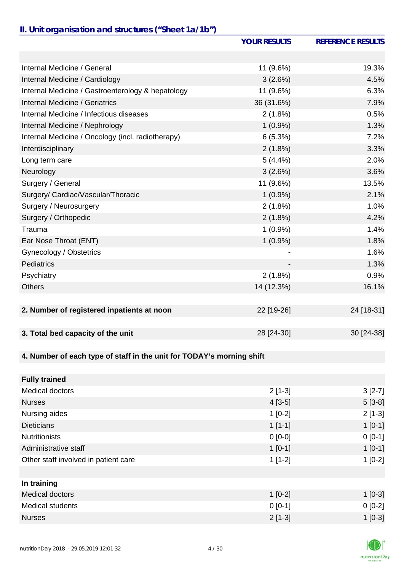# *II. Unit organisation and structures ("Sheet 1a/1b")*

|                                                                       | <b>YOUR RESULTS</b> | <b>REFERENCE RESULTS</b> |
|-----------------------------------------------------------------------|---------------------|--------------------------|
|                                                                       |                     |                          |
| Internal Medicine / General                                           | 11 (9.6%)           | 19.3%                    |
| Internal Medicine / Cardiology                                        | 3(2.6%)             | 4.5%                     |
| Internal Medicine / Gastroenterology & hepatology                     | 11 (9.6%)           | 6.3%                     |
| Internal Medicine / Geriatrics                                        | 36 (31.6%)          | 7.9%                     |
| Internal Medicine / Infectious diseases                               | $2(1.8\%)$          | 0.5%                     |
| Internal Medicine / Nephrology                                        | $1(0.9\%)$          | 1.3%                     |
| Internal Medicine / Oncology (incl. radiotherapy)                     | 6(5.3%)             | 7.2%                     |
| Interdisciplinary                                                     | 2(1.8%)             | 3.3%                     |
| Long term care                                                        | 5(4.4%)             | 2.0%                     |
| Neurology                                                             | 3(2.6%)             | 3.6%                     |
| Surgery / General                                                     | 11 (9.6%)           | 13.5%                    |
| Surgery/ Cardiac/Vascular/Thoracic                                    | $1(0.9\%)$          | 2.1%                     |
| Surgery / Neurosurgery                                                | 2(1.8%)             | 1.0%                     |
| Surgery / Orthopedic                                                  | 2(1.8%)             | 4.2%                     |
| Trauma                                                                | $1(0.9\%)$          | 1.4%                     |
| Ear Nose Throat (ENT)                                                 | $1(0.9\%)$          | 1.8%                     |
| Gynecology / Obstetrics                                               |                     | 1.6%                     |
| Pediatrics                                                            |                     | 1.3%                     |
| Psychiatry                                                            | 2(1.8%)             | 0.9%                     |
| <b>Others</b>                                                         | 14 (12.3%)          | 16.1%                    |
|                                                                       |                     |                          |
| 2. Number of registered inpatients at noon                            | 22 [19-26]          | 24 [18-31]               |
|                                                                       |                     |                          |
| 3. Total bed capacity of the unit                                     | 28 [24-30]          | 30 [24-38]               |
|                                                                       |                     |                          |
| 4. Number of each type of staff in the unit for TODAY's morning shift |                     |                          |
|                                                                       |                     |                          |
| <b>Fully trained</b>                                                  |                     |                          |
| <b>Medical doctors</b>                                                | $2[1-3]$            | $3[2-7]$                 |
| <b>Nurses</b>                                                         | $4[3-5]$            | $5[3-8]$                 |
| Nursing aides                                                         | $1[0-2]$            | $2[1-3]$                 |
| <b>Dieticians</b>                                                     | $1[1-1]$            | $1[0-1]$                 |
| <b>Nutritionists</b>                                                  | $0[0-0]$            | $0[0-1]$                 |
| Administrative staff                                                  | $1[0-1]$            | $1[0-1]$                 |
| Other staff involved in patient care                                  | $1[1-2]$            | $1[0-2]$                 |
|                                                                       |                     |                          |
| In training                                                           |                     |                          |
| <b>Medical doctors</b>                                                | $1[0-2]$            | $1[0-3]$                 |
| <b>Medical students</b>                                               | $0 [0-1]$           | $0[0-2]$                 |
| <b>Nurses</b>                                                         | $2[1-3]$            | $1[0-3]$                 |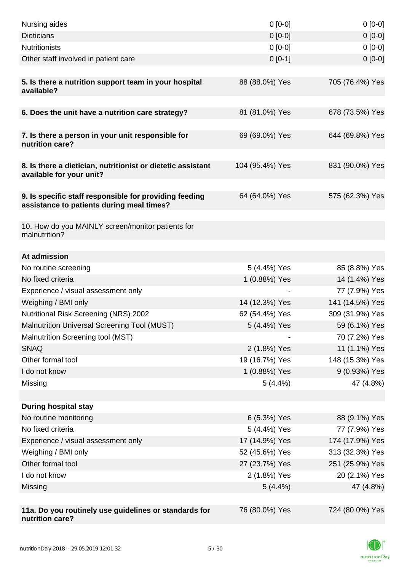| Nursing aides                                                                                       | $0[0-0]$                      | $0[0-0]$                       |
|-----------------------------------------------------------------------------------------------------|-------------------------------|--------------------------------|
| <b>Dieticians</b>                                                                                   | $0[0-0]$                      | $0[0-0]$                       |
| <b>Nutritionists</b>                                                                                | $0[0-0]$                      | $0[0-0]$                       |
| Other staff involved in patient care                                                                | $0[0-1]$                      | $0 [0-0]$                      |
|                                                                                                     |                               |                                |
| 5. Is there a nutrition support team in your hospital<br>available?                                 | 88 (88.0%) Yes                | 705 (76.4%) Yes                |
| 6. Does the unit have a nutrition care strategy?                                                    | 81 (81.0%) Yes                | 678 (73.5%) Yes                |
|                                                                                                     |                               |                                |
| 7. Is there a person in your unit responsible for<br>nutrition care?                                | 69 (69.0%) Yes                | 644 (69.8%) Yes                |
| 8. Is there a dietician, nutritionist or dietetic assistant<br>available for your unit?             | 104 (95.4%) Yes               | 831 (90.0%) Yes                |
| 9. Is specific staff responsible for providing feeding<br>assistance to patients during meal times? | 64 (64.0%) Yes                | 575 (62.3%) Yes                |
| 10. How do you MAINLY screen/monitor patients for<br>malnutrition?                                  |                               |                                |
|                                                                                                     |                               |                                |
| At admission                                                                                        |                               |                                |
| No routine screening<br>No fixed criteria                                                           | 5 (4.4%) Yes<br>1 (0.88%) Yes | 85 (8.8%) Yes<br>14 (1.4%) Yes |
| Experience / visual assessment only                                                                 |                               | 77 (7.9%) Yes                  |
| Weighing / BMI only                                                                                 | 14 (12.3%) Yes                | 141 (14.5%) Yes                |
| <b>Nutritional Risk Screening (NRS) 2002</b>                                                        | 62 (54.4%) Yes                | 309 (31.9%) Yes                |
| Malnutrition Universal Screening Tool (MUST)                                                        | 5 (4.4%) Yes                  | 59 (6.1%) Yes                  |
| Malnutrition Screening tool (MST)                                                                   |                               | 70 (7.2%) Yes                  |
| <b>SNAQ</b>                                                                                         | 2 (1.8%) Yes                  | 11 (1.1%) Yes                  |
| Other formal tool                                                                                   | 19 (16.7%) Yes                | 148 (15.3%) Yes                |
| I do not know                                                                                       | 1 (0.88%) Yes                 | 9 (0.93%) Yes                  |
| Missing                                                                                             | $5(4.4\%)$                    | 47 (4.8%)                      |
|                                                                                                     |                               |                                |
| <b>During hospital stay</b>                                                                         |                               |                                |
| No routine monitoring                                                                               | 6 (5.3%) Yes                  | 88 (9.1%) Yes                  |
| No fixed criteria                                                                                   | 5 (4.4%) Yes                  | 77 (7.9%) Yes                  |
| Experience / visual assessment only                                                                 | 17 (14.9%) Yes                | 174 (17.9%) Yes                |
| Weighing / BMI only                                                                                 | 52 (45.6%) Yes                | 313 (32.3%) Yes                |
| Other formal tool                                                                                   | 27 (23.7%) Yes                | 251 (25.9%) Yes                |
| I do not know                                                                                       | 2 (1.8%) Yes                  | 20 (2.1%) Yes                  |
| Missing                                                                                             | $5(4.4\%)$                    | 47 (4.8%)                      |
|                                                                                                     |                               |                                |
| 11a. Do you routinely use guidelines or standards for<br>nutrition care?                            | 76 (80.0%) Yes                | 724 (80.0%) Yes                |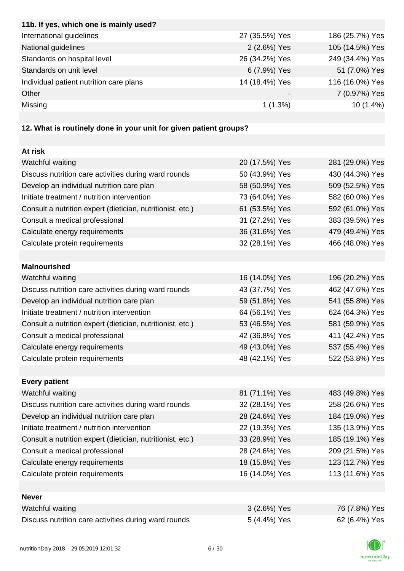| 11b. If yes, which one is mainly used?                            |                |                 |
|-------------------------------------------------------------------|----------------|-----------------|
| International guidelines                                          | 27 (35.5%) Yes | 186 (25.7%) Yes |
| National guidelines                                               | 2 (2.6%) Yes   | 105 (14.5%) Yes |
| Standards on hospital level                                       | 26 (34.2%) Yes | 249 (34.4%) Yes |
| Standards on unit level                                           | 6 (7.9%) Yes   | 51 (7.0%) Yes   |
| Individual patient nutrition care plans                           | 14 (18.4%) Yes | 116 (16.0%) Yes |
| Other                                                             |                | 7 (0.97%) Yes   |
| Missing                                                           | 1(1.3%)        | 10 (1.4%)       |
|                                                                   |                |                 |
| 12. What is routinely done in your unit for given patient groups? |                |                 |
|                                                                   |                |                 |
| At risk                                                           |                |                 |
| Watchful waiting                                                  | 20 (17.5%) Yes | 281 (29.0%) Yes |
| Discuss nutrition care activities during ward rounds              | 50 (43.9%) Yes | 430 (44.3%) Yes |
| Develop an individual nutrition care plan                         | 58 (50.9%) Yes | 509 (52.5%) Yes |
| Initiate treatment / nutrition intervention                       | 73 (64.0%) Yes | 582 (60.0%) Yes |
| Consult a nutrition expert (dietician, nutritionist, etc.)        | 61 (53.5%) Yes | 592 (61.0%) Yes |
| Consult a medical professional                                    | 31 (27.2%) Yes | 383 (39.5%) Yes |
| Calculate energy requirements                                     | 36 (31.6%) Yes | 479 (49.4%) Yes |
| Calculate protein requirements                                    | 32 (28.1%) Yes | 466 (48.0%) Yes |
|                                                                   |                |                 |
| <b>Malnourished</b>                                               |                |                 |
| Watchful waiting                                                  | 16 (14.0%) Yes | 196 (20.2%) Yes |
| Discuss nutrition care activities during ward rounds              | 43 (37.7%) Yes | 462 (47.6%) Yes |
| Develop an individual nutrition care plan                         | 59 (51.8%) Yes | 541 (55.8%) Yes |
| Initiate treatment / nutrition intervention                       | 64 (56.1%) Yes | 624 (64.3%) Yes |
| Consult a nutrition expert (dietician, nutritionist, etc.)        | 53 (46.5%) Yes | 581 (59.9%) Yes |
| Consult a medical professional                                    | 42 (36.8%) Yes | 411 (42.4%) Yes |
| Calculate energy requirements                                     | 49 (43.0%) Yes | 537 (55.4%) Yes |
| Calculate protein requirements                                    | 48 (42.1%) Yes | 522 (53.8%) Yes |
|                                                                   |                |                 |
| <b>Every patient</b>                                              |                |                 |
| Watchful waiting                                                  | 81 (71.1%) Yes | 483 (49.8%) Yes |
| Discuss nutrition care activities during ward rounds              | 32 (28.1%) Yes | 258 (26.6%) Yes |
| Develop an individual nutrition care plan                         | 28 (24.6%) Yes | 184 (19.0%) Yes |
| Initiate treatment / nutrition intervention                       | 22 (19.3%) Yes | 135 (13.9%) Yes |
| Consult a nutrition expert (dietician, nutritionist, etc.)        | 33 (28.9%) Yes | 185 (19.1%) Yes |
| Consult a medical professional                                    | 28 (24.6%) Yes | 209 (21.5%) Yes |
| Calculate energy requirements                                     | 18 (15.8%) Yes | 123 (12.7%) Yes |
| Calculate protein requirements                                    | 16 (14.0%) Yes | 113 (11.6%) Yes |
|                                                                   |                |                 |
| <b>Never</b>                                                      |                |                 |
| Watchful waiting                                                  | 3 (2.6%) Yes   | 76 (7.8%) Yes   |
| Discuss nutrition care activities during ward rounds              | 5 (4.4%) Yes   | 62 (6.4%) Yes   |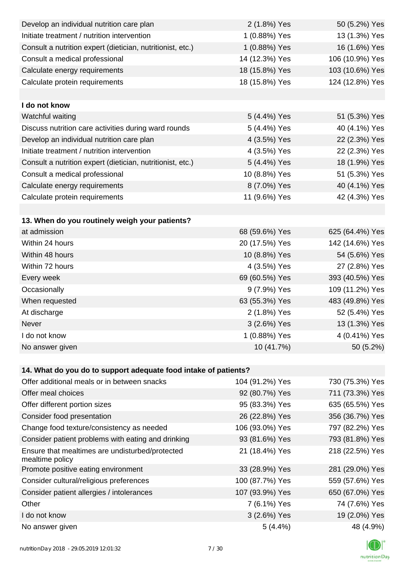| Develop an individual nutrition care plan                          | 2 (1.8%) Yes    | 50 (5.2%) Yes   |
|--------------------------------------------------------------------|-----------------|-----------------|
| Initiate treatment / nutrition intervention                        | 1 (0.88%) Yes   | 13 (1.3%) Yes   |
| Consult a nutrition expert (dietician, nutritionist, etc.)         | 1 (0.88%) Yes   | 16 (1.6%) Yes   |
| Consult a medical professional                                     | 14 (12.3%) Yes  | 106 (10.9%) Yes |
| Calculate energy requirements                                      | 18 (15.8%) Yes  | 103 (10.6%) Yes |
| Calculate protein requirements                                     | 18 (15.8%) Yes  | 124 (12.8%) Yes |
|                                                                    |                 |                 |
| I do not know                                                      |                 |                 |
| Watchful waiting                                                   | 5 (4.4%) Yes    | 51 (5.3%) Yes   |
| Discuss nutrition care activities during ward rounds               | 5 (4.4%) Yes    | 40 (4.1%) Yes   |
| Develop an individual nutrition care plan                          | 4 (3.5%) Yes    | 22 (2.3%) Yes   |
| Initiate treatment / nutrition intervention                        | 4 (3.5%) Yes    | 22 (2.3%) Yes   |
| Consult a nutrition expert (dietician, nutritionist, etc.)         | 5 (4.4%) Yes    | 18 (1.9%) Yes   |
| Consult a medical professional                                     | 10 (8.8%) Yes   | 51 (5.3%) Yes   |
| Calculate energy requirements                                      | 8 (7.0%) Yes    | 40 (4.1%) Yes   |
| Calculate protein requirements                                     | 11 (9.6%) Yes   | 42 (4.3%) Yes   |
|                                                                    |                 |                 |
| 13. When do you routinely weigh your patients?                     |                 |                 |
| at admission                                                       | 68 (59.6%) Yes  | 625 (64.4%) Yes |
| Within 24 hours                                                    | 20 (17.5%) Yes  | 142 (14.6%) Yes |
| Within 48 hours                                                    | 10 (8.8%) Yes   | 54 (5.6%) Yes   |
| Within 72 hours                                                    | 4 (3.5%) Yes    | 27 (2.8%) Yes   |
| Every week                                                         | 69 (60.5%) Yes  | 393 (40.5%) Yes |
| Occasionally                                                       | 9 (7.9%) Yes    | 109 (11.2%) Yes |
| When requested                                                     | 63 (55.3%) Yes  | 483 (49.8%) Yes |
| At discharge                                                       | 2 (1.8%) Yes    | 52 (5.4%) Yes   |
| Never                                                              | 3 (2.6%) Yes    | 13 (1.3%) Yes   |
| I do not know                                                      | 1 (0.88%) Yes   | 4 (0.41%) Yes   |
| No answer given                                                    | 10 (41.7%)      | 50 (5.2%)       |
|                                                                    |                 |                 |
| 14. What do you do to support adequate food intake of patients?    |                 |                 |
| Offer additional meals or in between snacks                        | 104 (91.2%) Yes | 730 (75.3%) Yes |
| Offer meal choices                                                 | 92 (80.7%) Yes  | 711 (73.3%) Yes |
| Offer different portion sizes                                      | 95 (83.3%) Yes  | 635 (65.5%) Yes |
| Consider food presentation                                         | 26 (22.8%) Yes  | 356 (36.7%) Yes |
| Change food texture/consistency as needed                          | 106 (93.0%) Yes | 797 (82.2%) Yes |
| Consider patient problems with eating and drinking                 | 93 (81.6%) Yes  | 793 (81.8%) Yes |
| Ensure that mealtimes are undisturbed/protected<br>mealtime policy | 21 (18.4%) Yes  | 218 (22.5%) Yes |
| Promote positive eating environment                                | 33 (28.9%) Yes  | 281 (29.0%) Yes |
| Consider cultural/religious preferences                            | 100 (87.7%) Yes | 559 (57.6%) Yes |
| Consider patient allergies / intolerances                          | 107 (93.9%) Yes | 650 (67.0%) Yes |
| Other                                                              | 7 (6.1%) Yes    | 74 (7.6%) Yes   |
| I do not know                                                      | 3 (2.6%) Yes    | 19 (2.0%) Yes   |
| No answer given                                                    | 5(4.4%)         | 48 (4.9%)       |

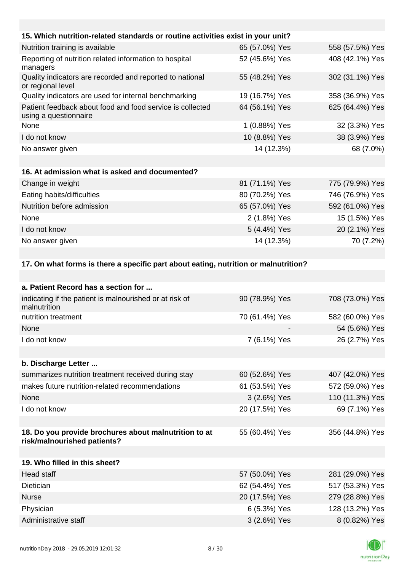| 15. Which nutrition-related standards or routine activities exist in your unit?     |                |                 |
|-------------------------------------------------------------------------------------|----------------|-----------------|
| Nutrition training is available                                                     | 65 (57.0%) Yes | 558 (57.5%) Yes |
| Reporting of nutrition related information to hospital<br>managers                  | 52 (45.6%) Yes | 408 (42.1%) Yes |
| Quality indicators are recorded and reported to national<br>or regional level       | 55 (48.2%) Yes | 302 (31.1%) Yes |
| Quality indicators are used for internal benchmarking                               | 19 (16.7%) Yes | 358 (36.9%) Yes |
| Patient feedback about food and food service is collected<br>using a questionnaire  | 64 (56.1%) Yes | 625 (64.4%) Yes |
| None                                                                                | 1 (0.88%) Yes  | 32 (3.3%) Yes   |
| I do not know                                                                       | 10 (8.8%) Yes  | 38 (3.9%) Yes   |
| No answer given                                                                     | 14 (12.3%)     | 68 (7.0%)       |
|                                                                                     |                |                 |
| 16. At admission what is asked and documented?                                      |                |                 |
| Change in weight                                                                    | 81 (71.1%) Yes | 775 (79.9%) Yes |
| Eating habits/difficulties                                                          | 80 (70.2%) Yes | 746 (76.9%) Yes |
| Nutrition before admission                                                          | 65 (57.0%) Yes | 592 (61.0%) Yes |
| None                                                                                | 2 (1.8%) Yes   | 15 (1.5%) Yes   |
| I do not know                                                                       | 5 (4.4%) Yes   | 20 (2.1%) Yes   |
| No answer given                                                                     | 14 (12.3%)     | 70 (7.2%)       |
|                                                                                     |                |                 |
| 17. On what forms is there a specific part about eating, nutrition or malnutrition? |                |                 |
|                                                                                     |                |                 |

| a. Patient Record has a section for                                                  |                |                 |
|--------------------------------------------------------------------------------------|----------------|-----------------|
| indicating if the patient is malnourished or at risk of<br>malnutrition              | 90 (78.9%) Yes | 708 (73.0%) Yes |
| nutrition treatment                                                                  | 70 (61.4%) Yes | 582 (60.0%) Yes |
| None                                                                                 |                | 54 (5.6%) Yes   |
| I do not know                                                                        | 7 (6.1%) Yes   | 26 (2.7%) Yes   |
|                                                                                      |                |                 |
| b. Discharge Letter                                                                  |                |                 |
| summarizes nutrition treatment received during stay                                  | 60 (52.6%) Yes | 407 (42.0%) Yes |
| makes future nutrition-related recommendations                                       | 61 (53.5%) Yes | 572 (59.0%) Yes |
| None                                                                                 | 3 (2.6%) Yes   | 110 (11.3%) Yes |
| I do not know                                                                        | 20 (17.5%) Yes | 69 (7.1%) Yes   |
|                                                                                      |                |                 |
| 18. Do you provide brochures about malnutrition to at<br>risk/malnourished patients? | 55 (60.4%) Yes | 356 (44.8%) Yes |
|                                                                                      |                |                 |
| 19. Who filled in this sheet?                                                        |                |                 |
| Head staff                                                                           | 57 (50.0%) Yes | 281 (29.0%) Yes |
| Dietician                                                                            | 62 (54.4%) Yes | 517 (53.3%) Yes |
| <b>Nurse</b>                                                                         | 20 (17.5%) Yes | 279 (28.8%) Yes |
| Physician                                                                            | 6 (5.3%) Yes   | 128 (13.2%) Yes |
| Administrative staff                                                                 | 3 (2.6%) Yes   | 8 (0.82%) Yes   |

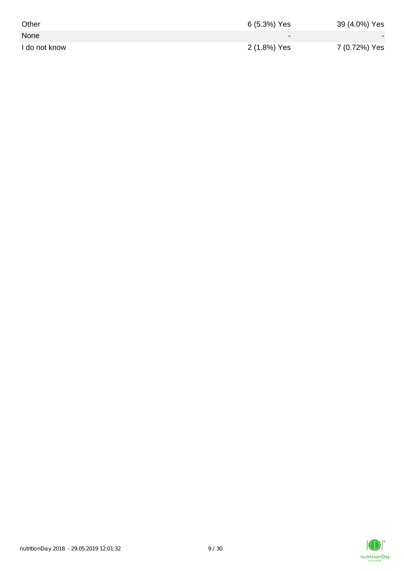| Other         | 6 (5.3%) Yes | 39 (4.0%) Yes |
|---------------|--------------|---------------|
| None          | $\sim$       |               |
| I do not know | 2 (1.8%) Yes | 7 (0.72%) Yes |

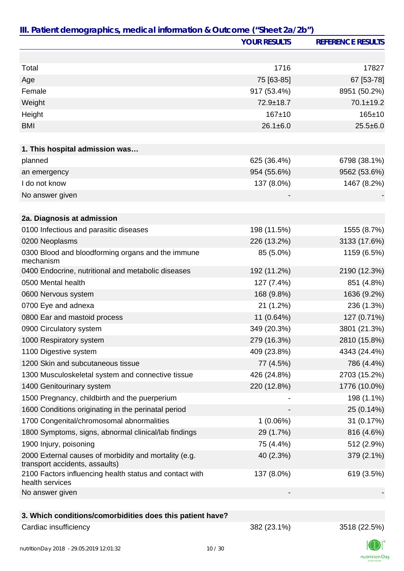|                                                                                         | <b>YOUR RESULTS</b> | <b>REFERENCE RESULTS</b> |
|-----------------------------------------------------------------------------------------|---------------------|--------------------------|
|                                                                                         |                     |                          |
| Total                                                                                   | 1716                | 17827                    |
| Age                                                                                     | 75 [63-85]          | 67 [53-78]               |
| Female                                                                                  | 917 (53.4%)         | 8951 (50.2%)             |
| Weight                                                                                  | 72.9±18.7           | $70.1 \pm 19.2$          |
| Height                                                                                  | $167 + 10$          | $165 + 10$               |
| <b>BMI</b>                                                                              | $26.1 \pm 6.0$      | $25.5 \pm 6.0$           |
| 1. This hospital admission was                                                          |                     |                          |
| planned                                                                                 | 625 (36.4%)         | 6798 (38.1%)             |
| an emergency                                                                            | 954 (55.6%)         | 9562 (53.6%)             |
| I do not know                                                                           | 137 (8.0%)          | 1467 (8.2%)              |
| No answer given                                                                         |                     |                          |
|                                                                                         |                     |                          |
| 2a. Diagnosis at admission                                                              |                     |                          |
| 0100 Infectious and parasitic diseases                                                  | 198 (11.5%)         | 1555 (8.7%)              |
| 0200 Neoplasms                                                                          | 226 (13.2%)         | 3133 (17.6%)             |
| 0300 Blood and bloodforming organs and the immune<br>mechanism                          | 85 (5.0%)           | 1159 (6.5%)              |
| 0400 Endocrine, nutritional and metabolic diseases                                      | 192 (11.2%)         | 2190 (12.3%)             |
| 0500 Mental health                                                                      | 127 (7.4%)          | 851 (4.8%)               |
| 0600 Nervous system                                                                     | 168 (9.8%)          | 1636 (9.2%)              |
| 0700 Eye and adnexa                                                                     | 21 (1.2%)           | 236 (1.3%)               |
| 0800 Ear and mastoid process                                                            | 11 (0.64%)          | 127 (0.71%)              |
| 0900 Circulatory system                                                                 | 349 (20.3%)         | 3801 (21.3%)             |
| 1000 Respiratory system                                                                 | 279 (16.3%)         | 2810 (15.8%)             |
| 1100 Digestive system                                                                   | 409 (23.8%)         | 4343 (24.4%)             |
| 1200 Skin and subcutaneous tissue                                                       | 77 (4.5%)           | 786 (4.4%)               |
| 1300 Musculoskeletal system and connective tissue                                       | 426 (24.8%)         | 2703 (15.2%)             |
| 1400 Genitourinary system                                                               | 220 (12.8%)         | 1776 (10.0%)             |
| 1500 Pregnancy, childbirth and the puerperium                                           |                     | 198 (1.1%)               |
| 1600 Conditions originating in the perinatal period                                     |                     | 25 (0.14%)               |
| 1700 Congenital/chromosomal abnormalities                                               | 1(0.06%)            | 31 (0.17%)               |
| 1800 Symptoms, signs, abnormal clinical/lab findings                                    | 29 (1.7%)           | 816 (4.6%)               |
| 1900 Injury, poisoning                                                                  | 75 (4.4%)           | 512 (2.9%)               |
| 2000 External causes of morbidity and mortality (e.g.<br>transport accidents, assaults) | 40 (2.3%)           | 379 (2.1%)               |
| 2100 Factors influencing health status and contact with<br>health services              | 137 (8.0%)          | 619 (3.5%)               |
| No answer given                                                                         |                     |                          |
|                                                                                         |                     |                          |
| 3. Which conditions/comorbidities does this patient have?                               |                     |                          |
| Cardiac insufficiency                                                                   | 382 (23.1%)         | 3518 (22.5%)             |

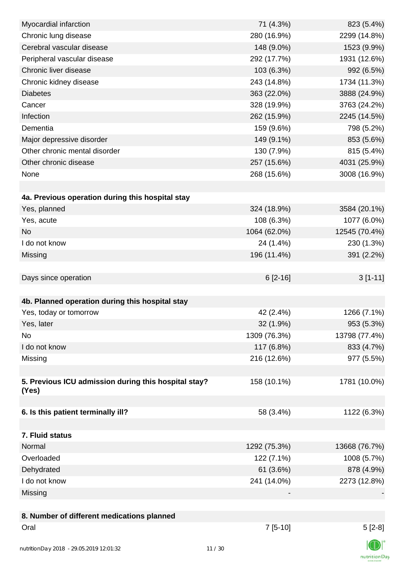| Myocardial infarction                                | 71 (4.3%)    | 823 (5.4%)    |
|------------------------------------------------------|--------------|---------------|
| Chronic lung disease                                 | 280 (16.9%)  | 2299 (14.8%)  |
| Cerebral vascular disease                            | 148 (9.0%)   | 1523 (9.9%)   |
| Peripheral vascular disease                          | 292 (17.7%)  | 1931 (12.6%)  |
| Chronic liver disease                                | 103 (6.3%)   | 992 (6.5%)    |
| Chronic kidney disease                               | 243 (14.8%)  | 1734 (11.3%)  |
| <b>Diabetes</b>                                      | 363 (22.0%)  | 3888 (24.9%)  |
| Cancer                                               | 328 (19.9%)  | 3763 (24.2%)  |
| Infection                                            | 262 (15.9%)  | 2245 (14.5%)  |
| Dementia                                             | 159 (9.6%)   | 798 (5.2%)    |
| Major depressive disorder                            | 149 (9.1%)   | 853 (5.6%)    |
| Other chronic mental disorder                        | 130 (7.9%)   | 815 (5.4%)    |
| Other chronic disease                                | 257 (15.6%)  | 4031 (25.9%)  |
| None                                                 | 268 (15.6%)  | 3008 (16.9%)  |
|                                                      |              |               |
| 4a. Previous operation during this hospital stay     |              |               |
| Yes, planned                                         | 324 (18.9%)  | 3584 (20.1%)  |
| Yes, acute                                           | 108 (6.3%)   | 1077 (6.0%)   |
| <b>No</b>                                            | 1064 (62.0%) | 12545 (70.4%) |
| I do not know                                        | 24 (1.4%)    | 230 (1.3%)    |
| Missing                                              | 196 (11.4%)  | 391 (2.2%)    |
|                                                      |              |               |
| Days since operation                                 | $6[2-16]$    | $3[1-11]$     |
|                                                      |              |               |
| 4b. Planned operation during this hospital stay      |              |               |
| Yes, today or tomorrow                               | 42 (2.4%)    | 1266 (7.1%)   |
| Yes, later                                           | 32 (1.9%)    | 953 (5.3%)    |
| No                                                   | 1309 (76.3%) | 13798 (77.4%) |
| I do not know                                        | 117 (6.8%)   | 833 (4.7%)    |
| Missing                                              | 216 (12.6%)  | 977 (5.5%)    |
|                                                      |              |               |
| 5. Previous ICU admission during this hospital stay? | 158 (10.1%)  | 1781 (10.0%)  |
| (Yes)                                                |              |               |
|                                                      |              |               |
| 6. Is this patient terminally ill?                   | 58 (3.4%)    | 1122 (6.3%)   |
|                                                      |              |               |
| 7. Fluid status                                      |              |               |
| Normal                                               | 1292 (75.3%) | 13668 (76.7%) |
| Overloaded                                           | 122 (7.1%)   | 1008 (5.7%)   |
| Dehydrated                                           | 61 (3.6%)    | 878 (4.9%)    |
| I do not know                                        | 241 (14.0%)  | 2273 (12.8%)  |
| Missing                                              |              |               |
|                                                      |              |               |
| 8. Number of different medications planned           |              |               |
| Oral                                                 | $7[5-10]$    | $5[2-8]$      |
|                                                      |              | $\sqrt{2}$    |

 $\mathbb{C} \mathbb{D} \mathbb{I}$ nutritionDay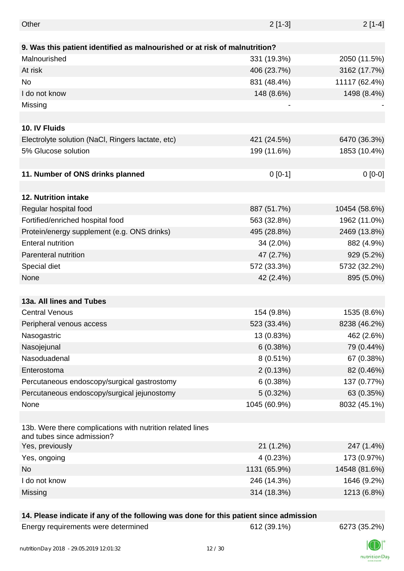| Other                                                                                    | $2[1-3]$     | $2[1-4]$      |
|------------------------------------------------------------------------------------------|--------------|---------------|
|                                                                                          |              |               |
| 9. Was this patient identified as malnourished or at risk of malnutrition?               |              |               |
| Malnourished                                                                             | 331 (19.3%)  | 2050 (11.5%)  |
| At risk                                                                                  | 406 (23.7%)  | 3162 (17.7%)  |
| No                                                                                       | 831 (48.4%)  | 11117 (62.4%) |
| I do not know                                                                            | 148 (8.6%)   | 1498 (8.4%)   |
| Missing                                                                                  |              |               |
|                                                                                          |              |               |
| 10. IV Fluids                                                                            |              |               |
| Electrolyte solution (NaCl, Ringers lactate, etc)                                        | 421 (24.5%)  | 6470 (36.3%)  |
| 5% Glucose solution                                                                      | 199 (11.6%)  | 1853 (10.4%)  |
|                                                                                          |              |               |
| 11. Number of ONS drinks planned                                                         | $0[0-1]$     | $0[0-0]$      |
|                                                                                          |              |               |
| 12. Nutrition intake                                                                     |              |               |
| Regular hospital food                                                                    | 887 (51.7%)  | 10454 (58.6%) |
| Fortified/enriched hospital food                                                         | 563 (32.8%)  | 1962 (11.0%)  |
| Protein/energy supplement (e.g. ONS drinks)                                              | 495 (28.8%)  | 2469 (13.8%)  |
| <b>Enteral nutrition</b>                                                                 | 34 (2.0%)    | 882 (4.9%)    |
| Parenteral nutrition                                                                     | 47 (2.7%)    | 929 (5.2%)    |
| Special diet                                                                             | 572 (33.3%)  | 5732 (32.2%)  |
| None                                                                                     | 42 (2.4%)    | 895 (5.0%)    |
|                                                                                          |              |               |
| 13a. All lines and Tubes                                                                 |              |               |
| <b>Central Venous</b>                                                                    | 154 (9.8%)   | 1535 (8.6%)   |
| Peripheral venous access                                                                 | 523 (33.4%)  | 8238 (46.2%)  |
|                                                                                          | 13 (0.83%)   | 462 (2.6%)    |
| Nasogastric                                                                              |              |               |
| Nasojejunal                                                                              | 6(0.38%)     | 79 (0.44%)    |
| Nasoduadenal                                                                             | 8 (0.51%)    | 67 (0.38%)    |
| Enterostoma                                                                              | 2(0.13%)     | 82 (0.46%)    |
| Percutaneous endoscopy/surgical gastrostomy                                              | 6(0.38%)     | 137 (0.77%)   |
| Percutaneous endoscopy/surgical jejunostomy                                              | 5(0.32%)     | 63 (0.35%)    |
| None                                                                                     | 1045 (60.9%) | 8032 (45.1%)  |
|                                                                                          |              |               |
| 13b. Were there complications with nutrition related lines<br>and tubes since admission? |              |               |
| Yes, previously                                                                          | 21(1.2%)     | 247 (1.4%)    |
| Yes, ongoing                                                                             | 4(0.23%)     | 173 (0.97%)   |
| No                                                                                       | 1131 (65.9%) | 14548 (81.6%) |
| I do not know                                                                            | 246 (14.3%)  | 1646 (9.2%)   |
| Missing                                                                                  | 314 (18.3%)  | 1213 (6.8%)   |
|                                                                                          |              |               |

#### **14. Please indicate if any of the following was done for this patient since admission**

| Energy requirements were determined |
|-------------------------------------|
|-------------------------------------|

Energy requirements were determined 612 (39.1%) 6273 (35.2%)



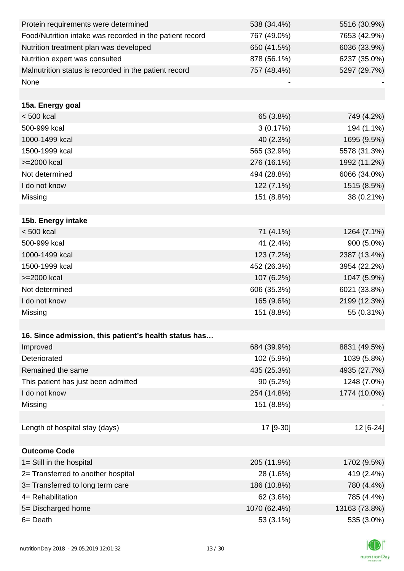| Protein requirements were determined                     | 538 (34.4%)  | 5516 (30.9%)  |
|----------------------------------------------------------|--------------|---------------|
| Food/Nutrition intake was recorded in the patient record | 767 (49.0%)  | 7653 (42.9%)  |
| Nutrition treatment plan was developed                   | 650 (41.5%)  | 6036 (33.9%)  |
| Nutrition expert was consulted                           | 878 (56.1%)  | 6237 (35.0%)  |
| Malnutrition status is recorded in the patient record    | 757 (48.4%)  | 5297 (29.7%)  |
| None                                                     |              |               |
|                                                          |              |               |
| 15a. Energy goal                                         |              |               |
| $< 500$ kcal                                             | 65 (3.8%)    | 749 (4.2%)    |
| 500-999 kcal                                             | 3(0.17%)     | 194 (1.1%)    |
| 1000-1499 kcal                                           | 40 (2.3%)    | 1695 (9.5%)   |
| 1500-1999 kcal                                           | 565 (32.9%)  | 5578 (31.3%)  |
| >=2000 kcal                                              | 276 (16.1%)  | 1992 (11.2%)  |
| Not determined                                           | 494 (28.8%)  | 6066 (34.0%)  |
| I do not know                                            | $122(7.1\%)$ | 1515 (8.5%)   |
| Missing                                                  | 151 (8.8%)   | 38 (0.21%)    |
|                                                          |              |               |
| 15b. Energy intake                                       |              |               |
| < 500 kcal                                               | 71 (4.1%)    | 1264 (7.1%)   |
| 500-999 kcal                                             | 41 (2.4%)    | 900 (5.0%)    |
| 1000-1499 kcal                                           | 123 (7.2%)   | 2387 (13.4%)  |
| 1500-1999 kcal                                           | 452 (26.3%)  | 3954 (22.2%)  |
| >=2000 kcal                                              | 107 (6.2%)   | 1047 (5.9%)   |
| Not determined                                           | 606 (35.3%)  | 6021 (33.8%)  |
| I do not know                                            | 165 (9.6%)   | 2199 (12.3%)  |
| Missing                                                  | 151 (8.8%)   | 55 (0.31%)    |
|                                                          |              |               |
| 16. Since admission, this patient's health status has    |              |               |
| Improved                                                 | 684 (39.9%)  | 8831 (49.5%)  |
| Deteriorated                                             | 102 (5.9%)   | 1039 (5.8%)   |
| Remained the same                                        | 435 (25.3%)  | 4935 (27.7%)  |
| This patient has just been admitted                      | $90(5.2\%)$  | 1248 (7.0%)   |
| I do not know                                            | 254 (14.8%)  | 1774 (10.0%)  |
| Missing                                                  | 151 (8.8%)   |               |
|                                                          |              |               |
| Length of hospital stay (days)                           | 17 [9-30]    | 12 [6-24]     |
|                                                          |              |               |
| <b>Outcome Code</b>                                      |              |               |
| 1= Still in the hospital                                 | 205 (11.9%)  | 1702 (9.5%)   |
| 2= Transferred to another hospital                       | 28 (1.6%)    | 419 (2.4%)    |
| 3= Transferred to long term care                         | 186 (10.8%)  | 780 (4.4%)    |
| 4= Rehabilitation                                        | 62 (3.6%)    | 785 (4.4%)    |
| 5= Discharged home                                       | 1070 (62.4%) | 13163 (73.8%) |
| 6 = Death                                                | 53 (3.1%)    | 535 (3.0%)    |

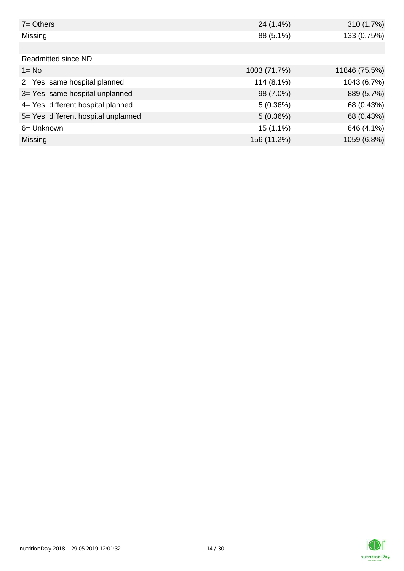| $7 = Others$                         | 24 (1.4%)    | 310 (1.7%)    |
|--------------------------------------|--------------|---------------|
| Missing                              | 88 (5.1%)    | 133 (0.75%)   |
|                                      |              |               |
| Readmitted since ND                  |              |               |
| $1 = No$                             | 1003 (71.7%) | 11846 (75.5%) |
| 2= Yes, same hospital planned        | 114 (8.1%)   | 1043 (6.7%)   |
| 3= Yes, same hospital unplanned      | 98 (7.0%)    | 889 (5.7%)    |
| 4= Yes, different hospital planned   | 5(0.36%)     | 68 (0.43%)    |
| 5= Yes, different hospital unplanned | 5(0.36%)     | 68 (0.43%)    |
| 6= Unknown                           | $15(1.1\%)$  | 646 (4.1%)    |
| <b>Missing</b>                       | 156 (11.2%)  | 1059 (6.8%)   |

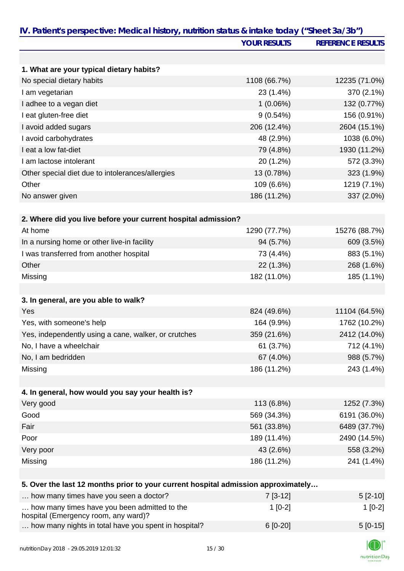|                                                                                      | <b>YOUR RESULTS</b> | <b>REFERENCE RESULTS</b> |
|--------------------------------------------------------------------------------------|---------------------|--------------------------|
|                                                                                      |                     |                          |
| 1. What are your typical dietary habits?                                             |                     |                          |
| No special dietary habits                                                            | 1108 (66.7%)        | 12235 (71.0%)            |
| I am vegetarian                                                                      | 23 (1.4%)           | 370 (2.1%)               |
| I adhee to a vegan diet                                                              | $1(0.06\%)$         | 132 (0.77%)              |
| I eat gluten-free diet                                                               | 9(0.54%)            | 156 (0.91%)              |
| I avoid added sugars                                                                 | 206 (12.4%)         | 2604 (15.1%)             |
| I avoid carbohydrates                                                                | 48 (2.9%)           | 1038 (6.0%)              |
| I eat a low fat-diet                                                                 | 79 (4.8%)           | 1930 (11.2%)             |
| I am lactose intolerant                                                              | 20 (1.2%)           | 572 (3.3%)               |
| Other special diet due to intolerances/allergies                                     | 13 (0.78%)          | 323 (1.9%)               |
| Other                                                                                | 109 (6.6%)          | 1219 (7.1%)              |
| No answer given                                                                      | 186 (11.2%)         | 337 (2.0%)               |
| 2. Where did you live before your current hospital admission?                        |                     |                          |
| At home                                                                              | 1290 (77.7%)        | 15276 (88.7%)            |
| In a nursing home or other live-in facility                                          | 94 (5.7%)           | 609 (3.5%)               |
| I was transferred from another hospital                                              | 73 (4.4%)           | 883 (5.1%)               |
| Other                                                                                | 22 (1.3%)           | 268 (1.6%)               |
| Missing                                                                              | 182 (11.0%)         | 185 (1.1%)               |
|                                                                                      |                     |                          |
| 3. In general, are you able to walk?                                                 |                     |                          |
| Yes                                                                                  | 824 (49.6%)         | 11104 (64.5%)            |
| Yes, with someone's help                                                             | 164 (9.9%)          | 1762 (10.2%)             |
| Yes, independently using a cane, walker, or crutches                                 | 359 (21.6%)         | 2412 (14.0%)             |
| No, I have a wheelchair                                                              | 61 (3.7%)           | 712 (4.1%)               |
| No, I am bedridden                                                                   | 67 (4.0%)           | 988 (5.7%)               |
| Missing                                                                              | 186 (11.2%)         | 243 (1.4%)               |
|                                                                                      |                     |                          |
| 4. In general, how would you say your health is?                                     |                     |                          |
| Very good                                                                            | 113 (6.8%)          | 1252 (7.3%)              |
| Good                                                                                 | 569 (34.3%)         | 6191 (36.0%)             |
| Fair                                                                                 | 561 (33.8%)         | 6489 (37.7%)             |
| Poor                                                                                 | 189 (11.4%)         | 2490 (14.5%)             |
| Very poor                                                                            | 43 (2.6%)           | 558 (3.2%)               |
| Missing                                                                              | 186 (11.2%)         | 241 (1.4%)               |
| 5. Over the last 12 months prior to your current hospital admission approximately    |                     |                          |
| how many times have you seen a doctor?                                               | $7[3-12]$           | $5[2-10]$                |
| how many times have you been admitted to the<br>hospital (Emergency room, any ward)? | $1[0-2]$            | $1[0-2]$                 |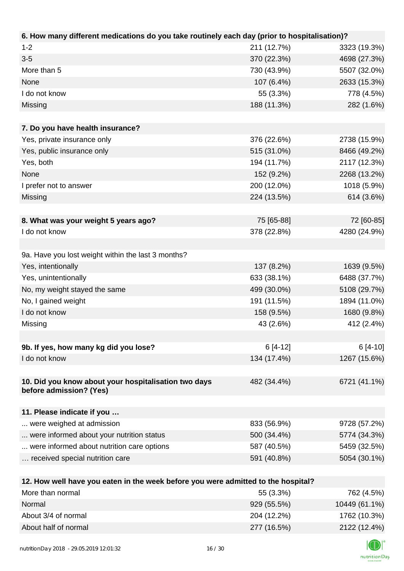| 211 (12.7%) | 3323 (19.3%)                                                                                                                                                                      |
|-------------|-----------------------------------------------------------------------------------------------------------------------------------------------------------------------------------|
| 370 (22.3%) | 4698 (27.3%)                                                                                                                                                                      |
| 730 (43.9%) | 5507 (32.0%)                                                                                                                                                                      |
| 107 (6.4%)  | 2633 (15.3%)                                                                                                                                                                      |
| 55 (3.3%)   | 778 (4.5%)                                                                                                                                                                        |
| 188 (11.3%) | 282 (1.6%)                                                                                                                                                                        |
|             |                                                                                                                                                                                   |
|             |                                                                                                                                                                                   |
| 376 (22.6%) | 2738 (15.9%)                                                                                                                                                                      |
| 515 (31.0%) | 8466 (49.2%)                                                                                                                                                                      |
| 194 (11.7%) | 2117 (12.3%)                                                                                                                                                                      |
| 152 (9.2%)  | 2268 (13.2%)                                                                                                                                                                      |
| 200 (12.0%) | 1018 (5.9%)                                                                                                                                                                       |
| 224 (13.5%) | 614 (3.6%)                                                                                                                                                                        |
|             |                                                                                                                                                                                   |
| 75 [65-88]  | 72 [60-85]                                                                                                                                                                        |
| 378 (22.8%) | 4280 (24.9%)                                                                                                                                                                      |
|             |                                                                                                                                                                                   |
|             |                                                                                                                                                                                   |
| 137 (8.2%)  | 1639 (9.5%)                                                                                                                                                                       |
| 633 (38.1%) | 6488 (37.7%)                                                                                                                                                                      |
| 499 (30.0%) | 5108 (29.7%)                                                                                                                                                                      |
| 191 (11.5%) | 1894 (11.0%)                                                                                                                                                                      |
| 158 (9.5%)  | 1680 (9.8%)                                                                                                                                                                       |
| 43 (2.6%)   | 412 (2.4%)                                                                                                                                                                        |
|             |                                                                                                                                                                                   |
| $6[4-12]$   | $6[4-10]$                                                                                                                                                                         |
| 134 (17.4%) | 1267 (15.6%)                                                                                                                                                                      |
|             |                                                                                                                                                                                   |
| 482 (34.4%) | 6721 (41.1%)                                                                                                                                                                      |
|             |                                                                                                                                                                                   |
|             |                                                                                                                                                                                   |
| 833 (56.9%) | 9728 (57.2%)                                                                                                                                                                      |
| 500 (34.4%) | 5774 (34.3%)                                                                                                                                                                      |
| 587 (40.5%) | 5459 (32.5%)                                                                                                                                                                      |
| 591 (40.8%) | 5054 (30.1%)                                                                                                                                                                      |
|             |                                                                                                                                                                                   |
|             |                                                                                                                                                                                   |
|             | 6. How many different medications do you take routinely each day (prior to hospitalisation)?<br>12. How well have you eaten in the week before you were admitted to the hospital? |

| More than normal     | 55 (3.3%)   | 762 (4.5%)    |
|----------------------|-------------|---------------|
| Normal               | 929 (55.5%) | 10449 (61.1%) |
| About 3/4 of normal  | 204 (12.2%) | 1762 (10.3%)  |
| About half of normal | 277 (16.5%) | 2122 (12.4%)  |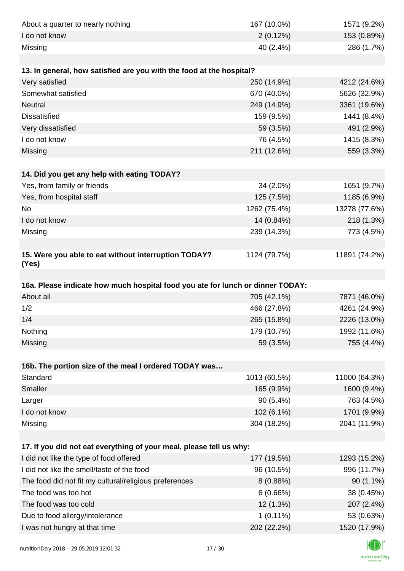| About a quarter to nearly nothing                                              | 167 (10.0%)                | 1571 (9.2%)                |
|--------------------------------------------------------------------------------|----------------------------|----------------------------|
| I do not know                                                                  | 2(0.12%)                   | 153 (0.89%)                |
| Missing                                                                        | 40 (2.4%)                  | 286 (1.7%)                 |
|                                                                                |                            |                            |
| 13. In general, how satisfied are you with the food at the hospital?           |                            |                            |
| Very satisfied                                                                 | 250 (14.9%)                | 4212 (24.6%)               |
| Somewhat satisfied                                                             | 670 (40.0%)                | 5626 (32.9%)               |
| Neutral                                                                        | 249 (14.9%)                | 3361 (19.6%)               |
| <b>Dissatisfied</b>                                                            | 159 (9.5%)                 | 1441 (8.4%)                |
| Very dissatisfied                                                              | 59 (3.5%)                  | 491 (2.9%)                 |
| I do not know                                                                  | 76 (4.5%)                  | 1415 (8.3%)                |
| Missing                                                                        | 211 (12.6%)                | 559 (3.3%)                 |
|                                                                                |                            |                            |
| 14. Did you get any help with eating TODAY?                                    |                            |                            |
| Yes, from family or friends                                                    | 34 (2.0%)                  | 1651 (9.7%)                |
| Yes, from hospital staff                                                       | 125 (7.5%)                 | 1185 (6.9%)                |
| No                                                                             | 1262 (75.4%)               | 13278 (77.6%)              |
| I do not know                                                                  | 14 (0.84%)                 | 218 (1.3%)                 |
| Missing                                                                        | 239 (14.3%)                | 773 (4.5%)                 |
|                                                                                |                            |                            |
| 15. Were you able to eat without interruption TODAY?<br>(Yes)                  | 1124 (79.7%)               | 11891 (74.2%)              |
|                                                                                |                            |                            |
| 16a. Please indicate how much hospital food you ate for lunch or dinner TODAY: |                            |                            |
| About all                                                                      | 705 (42.1%)                | 7871 (46.0%)               |
| 1/2                                                                            | 466 (27.8%)                | 4261 (24.9%)               |
| 1/4                                                                            | 265 (15.8%)                | 2226 (13.0%)               |
| Nothing                                                                        | 179 (10.7%)                | 1992 (11.6%)               |
| Missing                                                                        | 59 (3.5%)                  | 755 (4.4%)                 |
|                                                                                |                            |                            |
| 16b. The portion size of the meal I ordered TODAY was                          |                            |                            |
| Standard                                                                       | 1013 (60.5%)               | 11000 (64.3%)              |
| Smaller                                                                        | 165 (9.9%)                 | 1600 (9.4%)                |
| Larger                                                                         | 90 (5.4%)                  | 763 (4.5%)                 |
| I do not know                                                                  |                            | 1701 (9.9%)                |
|                                                                                | 102 (6.1%)                 |                            |
| Missing                                                                        | 304 (18.2%)                | 2041 (11.9%)               |
|                                                                                |                            |                            |
| 17. If you did not eat everything of your meal, please tell us why:            |                            |                            |
| I did not like the type of food offered                                        | 177 (19.5%)                | 1293 (15.2%)               |
| I did not like the smell/taste of the food                                     | 96 (10.5%)                 | 996 (11.7%)                |
| The food did not fit my cultural/religious preferences                         | 8(0.88%)                   | $90(1.1\%)$                |
| The food was too hot                                                           | 6(0.66%)                   | 38 (0.45%)                 |
| The food was too cold                                                          | 12 (1.3%)                  | 207 (2.4%)                 |
| Due to food allergy/intolerance<br>I was not hungry at that time               | $1(0.11\%)$<br>202 (22.2%) | 53 (0.63%)<br>1520 (17.9%) |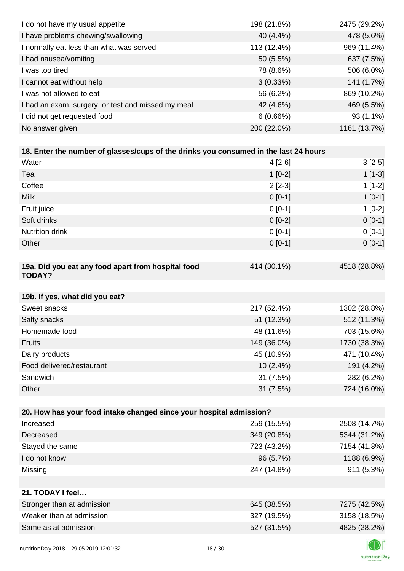| I do not have my usual appetite                                                      | 198 (21.8%) | 2475 (29.2%) |
|--------------------------------------------------------------------------------------|-------------|--------------|
| I have problems chewing/swallowing                                                   | 40 (4.4%)   | 478 (5.6%)   |
| I normally eat less than what was served                                             | 113 (12.4%) | 969 (11.4%)  |
| I had nausea/vomiting                                                                | 50 (5.5%)   | 637 (7.5%)   |
| I was too tired                                                                      | 78 (8.6%)   | 506 (6.0%)   |
| I cannot eat without help                                                            | 3(0.33%)    | 141 (1.7%)   |
| I was not allowed to eat                                                             | 56 (6.2%)   | 869 (10.2%)  |
| I had an exam, surgery, or test and missed my meal                                   | 42 (4.6%)   | 469 (5.5%)   |
| I did not get requested food                                                         | 6(0.66%)    | 93 (1.1%)    |
| No answer given                                                                      | 200 (22.0%) | 1161 (13.7%) |
|                                                                                      |             |              |
| 18. Enter the number of glasses/cups of the drinks you consumed in the last 24 hours |             |              |
| Water                                                                                | $4[2-6]$    | $3[2-5]$     |
| Tea                                                                                  | $1[0-2]$    | $1[1-3]$     |
| Coffee                                                                               | $2[2-3]$    | $1[1-2]$     |
| Milk                                                                                 | $0 [0-1]$   | $1[0-1]$     |
| Fruit juice                                                                          | $0[0-1]$    | $1[0-2]$     |
| Soft drinks                                                                          | $0[0-2]$    | $0[0-1]$     |
| Nutrition drink                                                                      | $0[0-1]$    | $0[0-1]$     |
| Other                                                                                | $0[0-1]$    | $0[0-1]$     |
|                                                                                      |             |              |
| 19a. Did you eat any food apart from hospital food<br><b>TODAY?</b>                  | 414 (30.1%) | 4518 (28.8%) |
| 19b. If yes, what did you eat?                                                       |             |              |
| Sweet snacks                                                                         | 217 (52.4%) | 1302 (28.8%) |
| Salty snacks                                                                         | 51 (12.3%)  | 512 (11.3%)  |
| Homemade food                                                                        | 48 (11.6%)  | 703 (15.6%)  |
| <b>Fruits</b>                                                                        | 149 (36.0%) | 1730 (38.3%) |
| Dairy products                                                                       | 45 (10.9%)  | 471 (10.4%)  |
| Food delivered/restaurant                                                            | 10 (2.4%)   | 191 (4.2%)   |
| Sandwich                                                                             | 31 (7.5%)   | 282 (6.2%)   |
| Other                                                                                | 31 (7.5%)   | 724 (16.0%)  |
|                                                                                      |             |              |
| 20. How has your food intake changed since your hospital admission?                  |             |              |
| Increased                                                                            | 259 (15.5%) | 2508 (14.7%) |
| Decreased                                                                            | 349 (20.8%) | 5344 (31.2%) |
| Stayed the same                                                                      | 723 (43.2%) | 7154 (41.8%) |
| I do not know                                                                        | 96 (5.7%)   | 1188 (6.9%)  |
| Missing                                                                              | 247 (14.8%) | 911 (5.3%)   |
|                                                                                      |             |              |
| 21. TODAY I feel                                                                     |             |              |
| Stronger than at admission                                                           | 645 (38.5%) | 7275 (42.5%) |
| Weaker than at admission                                                             | 327 (19.5%) | 3158 (18.5%) |
| Same as at admission                                                                 | 527 (31.5%) | 4825 (28.2%) |
|                                                                                      |             |              |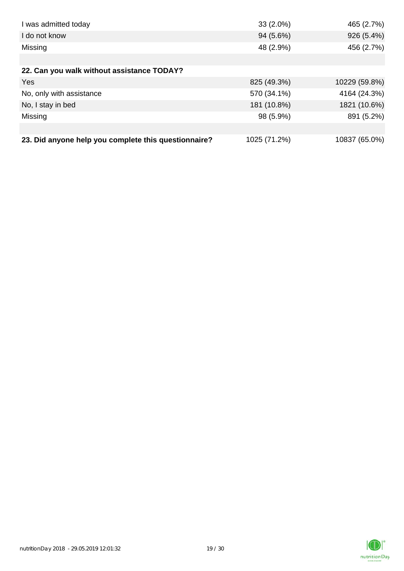| I was admitted today                                 | $33(2.0\%)$  | 465 (2.7%)    |
|------------------------------------------------------|--------------|---------------|
| I do not know                                        | 94 (5.6%)    | 926 (5.4%)    |
| Missing                                              | 48 (2.9%)    | 456 (2.7%)    |
|                                                      |              |               |
| 22. Can you walk without assistance TODAY?           |              |               |
| Yes                                                  | 825 (49.3%)  | 10229 (59.8%) |
| No, only with assistance                             | 570 (34.1%)  | 4164 (24.3%)  |
| No, I stay in bed                                    | 181 (10.8%)  | 1821 (10.6%)  |
| Missing                                              | 98 (5.9%)    | 891 (5.2%)    |
|                                                      |              |               |
| 23. Did anyone help you complete this questionnaire? | 1025 (71.2%) | 10837 (65.0%) |

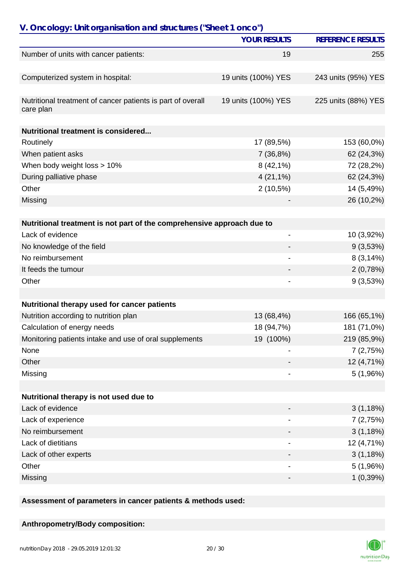| V. Oncology: Unit organisation and structures ("Sheet 1 onco")           |                     |                          |
|--------------------------------------------------------------------------|---------------------|--------------------------|
|                                                                          | <b>YOUR RESULTS</b> | <b>REFERENCE RESULTS</b> |
| Number of units with cancer patients:                                    | 19                  | 255                      |
| Computerized system in hospital:                                         | 19 units (100%) YES | 243 units (95%) YES      |
| Nutritional treatment of cancer patients is part of overall<br>care plan | 19 units (100%) YES | 225 units (88%) YES      |
| Nutritional treatment is considered                                      |                     |                          |
| Routinely                                                                | 17 (89,5%)          | 153 (60,0%)              |
| When patient asks                                                        | 7(36,8%)            | 62 (24,3%)               |
| When body weight loss > 10%                                              | $8(42,1\%)$         | 72 (28,2%)               |
| During palliative phase                                                  | $4(21,1\%)$         | 62 (24,3%)               |
| Other                                                                    | $2(10,5\%)$         | 14 (5,49%)               |
| Missing                                                                  |                     | 26 (10,2%)               |
|                                                                          |                     |                          |
| Nutritional treatment is not part of the comprehensive approach due to   |                     |                          |
| Lack of evidence                                                         | -                   | 10 (3,92%)               |
| No knowledge of the field                                                |                     | 9(3,53%)                 |
| No reimbursement                                                         |                     | 8(3,14%)                 |
| It feeds the tumour                                                      |                     | 2(0,78%)                 |
| Other                                                                    |                     | 9(3,53%)                 |
|                                                                          |                     |                          |
| Nutritional therapy used for cancer patients                             |                     |                          |
| Nutrition according to nutrition plan                                    | 13 (68,4%)          | 166 (65,1%)              |
| Calculation of energy needs                                              | 18 (94,7%)          | 181 (71,0%)              |
| Monitoring patients intake and use of oral supplements                   | 19 (100%)           | 219 (85,9%)              |
| None                                                                     |                     | 7(2,75%)                 |
| Other                                                                    |                     | 12 (4,71%)               |
| Missing                                                                  | -                   | 5(1,96%)                 |
| Nutritional therapy is not used due to                                   |                     |                          |
| Lack of evidence                                                         |                     | 3(1,18%)                 |
| Lack of experience                                                       |                     |                          |
| No reimbursement                                                         |                     | 7(2,75%)                 |
|                                                                          |                     | 3(1,18%)                 |
| Lack of dietitians                                                       | $\overline{a}$      | 12 (4,71%)               |
| Lack of other experts<br>Other                                           |                     | 3(1,18%)                 |
|                                                                          | -                   | 5(1,96%)                 |
| Missing                                                                  | -                   | 1(0,39%)                 |

**Assessment of parameters in cancer patients & methods used:**

## **Anthropometry/Body composition:**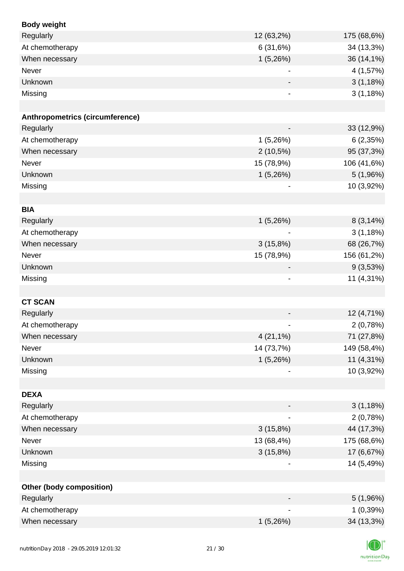| <b>Body weight</b>                     |                              |             |
|----------------------------------------|------------------------------|-------------|
| Regularly                              | 12 (63,2%)                   | 175 (68,6%) |
| At chemotherapy                        | 6(31,6%)                     | 34 (13,3%)  |
| When necessary                         | 1(5,26%)                     | 36 (14,1%)  |
| Never                                  |                              | 4 (1,57%)   |
| Unknown                                |                              | 3(1,18%)    |
| Missing                                |                              | 3(1,18%)    |
|                                        |                              |             |
| <b>Anthropometrics (circumference)</b> |                              |             |
| Regularly                              | $\qquad \qquad \blacksquare$ | 33 (12,9%)  |
| At chemotherapy                        | 1(5,26%)                     | 6(2,35%)    |
| When necessary                         | $2(10,5\%)$                  | 95 (37,3%)  |
| Never                                  | 15 (78,9%)                   | 106 (41,6%) |
| Unknown                                | 1(5,26%)                     | 5(1,96%)    |
| Missing                                | $\overline{\phantom{a}}$     | 10 (3,92%)  |
|                                        |                              |             |
| <b>BIA</b>                             |                              |             |
| Regularly                              | 1(5,26%)                     | 8(3,14%)    |
| At chemotherapy                        |                              | 3(1,18%)    |
| When necessary                         | 3(15,8%)                     | 68 (26,7%)  |
| Never                                  | 15 (78,9%)                   | 156 (61,2%) |
| Unknown                                | $\overline{\phantom{a}}$     | 9(3,53%)    |
| Missing                                | $\qquad \qquad \blacksquare$ | 11 (4,31%)  |
|                                        |                              |             |
| <b>CT SCAN</b>                         |                              |             |
| Regularly                              |                              | 12 (4,71%)  |
| At chemotherapy                        |                              | 2(0,78%)    |
| When necessary                         | $4(21,1\%)$                  | 71 (27,8%)  |
| Never                                  | 14 (73,7%)                   | 149 (58,4%) |
| Unknown                                | 1(5,26%)                     | 11 (4,31%)  |
| Missing                                |                              | 10 (3,92%)  |
|                                        |                              |             |
| <b>DEXA</b>                            |                              |             |
| Regularly                              |                              | 3(1,18%)    |
| At chemotherapy                        | $\qquad \qquad \blacksquare$ | 2(0,78%)    |
| When necessary                         | 3(15,8%)                     | 44 (17,3%)  |
| Never                                  | 13 (68,4%)                   | 175 (68,6%) |
| Unknown                                | 3(15,8%)                     | 17 (6,67%)  |
| Missing                                |                              | 14 (5,49%)  |
|                                        |                              |             |
| Other (body composition)               |                              |             |
| Regularly                              |                              | 5(1,96%)    |
| At chemotherapy                        |                              | 1(0,39%)    |
| When necessary                         | 1(5,26%)                     | 34 (13,3%)  |
|                                        |                              |             |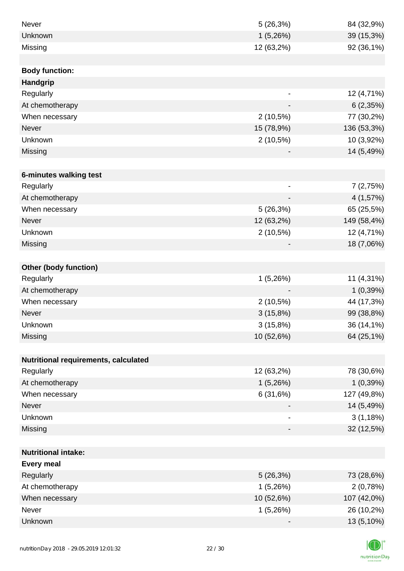| Never                                | 5(26,3%)                 | 84 (32,9%)  |
|--------------------------------------|--------------------------|-------------|
| Unknown                              | 1(5,26%)                 | 39 (15,3%)  |
| Missing                              | 12 (63,2%)               | 92 (36,1%)  |
|                                      |                          |             |
| <b>Body function:</b>                |                          |             |
| Handgrip                             |                          |             |
| Regularly                            | $\overline{a}$           | 12 (4,71%)  |
| At chemotherapy                      |                          | 6(2,35%)    |
| When necessary                       | $2(10,5\%)$              | 77 (30,2%)  |
| Never                                | 15 (78,9%)               | 136 (53,3%) |
| Unknown                              | $2(10,5\%)$              | 10 (3,92%)  |
| Missing                              |                          | 14 (5,49%)  |
|                                      |                          |             |
| 6-minutes walking test               |                          |             |
| Regularly                            | $\overline{\phantom{a}}$ | 7(2,75%)    |
| At chemotherapy                      | $\overline{\phantom{a}}$ | 4(1,57%)    |
| When necessary                       | 5(26,3%)                 | 65 (25,5%)  |
| <b>Never</b>                         | 12 (63,2%)               | 149 (58,4%) |
| Unknown                              | 2(10,5%)                 | 12 (4,71%)  |
| Missing                              |                          | 18 (7,06%)  |
|                                      |                          |             |
| <b>Other (body function)</b>         |                          |             |
| Regularly                            | 1(5,26%)                 | 11 (4,31%)  |
| At chemotherapy                      |                          | 1(0,39%)    |
| When necessary                       | $2(10,5\%)$              | 44 (17,3%)  |
| Never                                | 3(15,8%)                 | 99 (38,8%)  |
| Unknown                              | 3(15,8%)                 | 36 (14,1%)  |
| Missing                              | 10 (52,6%)               | 64 (25,1%)  |
|                                      |                          |             |
| Nutritional requirements, calculated |                          |             |
| Regularly                            | 12 (63,2%)               | 78 (30,6%)  |
| At chemotherapy                      | 1(5,26%)                 | 1(0,39%)    |
| When necessary                       | 6(31,6%)                 | 127 (49,8%) |
| Never                                |                          | 14 (5,49%)  |
| Unknown                              | $\overline{\phantom{a}}$ | 3(1,18%)    |
| Missing                              | -                        | 32 (12,5%)  |
|                                      |                          |             |
| <b>Nutritional intake:</b>           |                          |             |
| <b>Every meal</b>                    |                          |             |
| Regularly                            | 5(26,3%)                 | 73 (28,6%)  |
| At chemotherapy                      | 1(5,26%)                 | 2(0,78%)    |
| When necessary                       | 10 (52,6%)               | 107 (42,0%) |
| <b>Never</b>                         | 1(5,26%)                 | 26 (10,2%)  |
| Unknown                              |                          | 13 (5,10%)  |

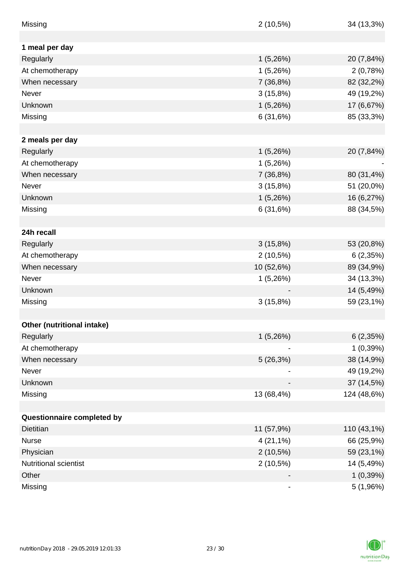| Missing                    | $2(10,5\%)$ | 34 (13,3%)  |
|----------------------------|-------------|-------------|
|                            |             |             |
| 1 meal per day             |             |             |
| Regularly                  | 1(5,26%)    | 20 (7,84%)  |
| At chemotherapy            | 1(5,26%)    | 2(0,78%)    |
| When necessary             | 7 (36,8%)   | 82 (32,2%)  |
| Never                      | 3(15,8%)    | 49 (19,2%)  |
| Unknown                    | 1(5,26%)    | 17 (6,67%)  |
| Missing                    | 6(31,6%)    | 85 (33,3%)  |
|                            |             |             |
| 2 meals per day            |             |             |
| Regularly                  | 1(5,26%)    | 20 (7,84%)  |
| At chemotherapy            | 1(5,26%)    |             |
| When necessary             | 7 (36,8%)   | 80 (31,4%)  |
| <b>Never</b>               | 3(15,8%)    | 51 (20,0%)  |
| Unknown                    | 1(5,26%)    | 16 (6,27%)  |
| Missing                    | 6(31,6%)    | 88 (34,5%)  |
|                            |             |             |
| 24h recall                 |             |             |
| Regularly                  | 3(15,8%)    | 53 (20,8%)  |
| At chemotherapy            | $2(10,5\%)$ | 6(2,35%)    |
| When necessary             | 10 (52,6%)  | 89 (34,9%)  |
| Never                      | 1(5,26%)    | 34 (13,3%)  |
| Unknown                    |             | 14 (5,49%)  |
| Missing                    | 3(15,8%)    | 59 (23,1%)  |
|                            |             |             |
| Other (nutritional intake) |             |             |
| Regularly                  | 1(5,26%)    | 6(2,35%)    |
| At chemotherapy            |             | 1(0,39%)    |
| When necessary             | 5(26,3%)    | 38 (14,9%)  |
| Never                      |             | 49 (19,2%)  |
| Unknown                    |             | 37 (14,5%)  |
| Missing                    | 13 (68,4%)  | 124 (48,6%) |
|                            |             |             |
| Questionnaire completed by |             |             |
| <b>Dietitian</b>           | 11 (57,9%)  | 110 (43,1%) |
| <b>Nurse</b>               | $4(21,1\%)$ | 66 (25,9%)  |
| Physician                  | $2(10,5\%)$ | 59 (23,1%)  |
| Nutritional scientist      | 2(10,5%)    | 14 (5,49%)  |
| Other                      |             | 1(0,39%)    |
| Missing                    | -           | 5(1,96%)    |

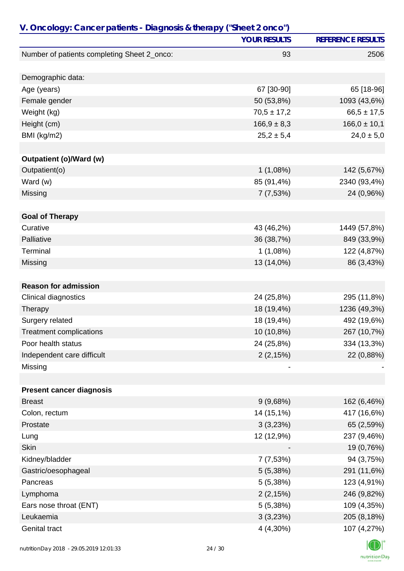|                                             | <b>YOUR RESULTS</b> | <b>REFERENCE RESULTS</b> |
|---------------------------------------------|---------------------|--------------------------|
| Number of patients completing Sheet 2_onco: | 93                  | 2506                     |
| Demographic data:                           |                     |                          |
| Age (years)                                 | 67 [30-90]          | 65 [18-96]               |
| Female gender                               | 50 (53,8%)          | 1093 (43,6%)             |
| Weight (kg)                                 | $70,5 \pm 17,2$     | $66,5 \pm 17,5$          |
| Height (cm)                                 | $166,9 \pm 8,3$     | $166,0 \pm 10,1$         |
| BMI (kg/m2)                                 | $25,2 \pm 5,4$      | $24,0 \pm 5,0$           |
|                                             |                     |                          |
| Outpatient (o)/Ward (w)                     |                     |                          |
| Outpatient(o)                               | 1(1,08%)            | 142 (5,67%)              |
| Ward (w)                                    | 85 (91,4%)          | 2340 (93,4%)             |
| Missing                                     | 7(7,53%)            | 24 (0,96%)               |
|                                             |                     |                          |
| <b>Goal of Therapy</b>                      |                     |                          |
| Curative                                    | 43 (46,2%)          | 1449 (57,8%)             |
| Palliative                                  | 36 (38,7%)          | 849 (33,9%)              |
| Terminal                                    | 1(1,08%)            | 122 (4,87%)              |
| Missing                                     | 13 (14,0%)          | 86 (3,43%)               |
| <b>Reason for admission</b>                 |                     |                          |
| Clinical diagnostics                        | 24 (25,8%)          | 295 (11,8%)              |
| Therapy                                     | 18 (19,4%)          | 1236 (49,3%)             |
| Surgery related                             | 18 (19,4%)          | 492 (19,6%)              |
| <b>Treatment complications</b>              | 10 (10,8%)          | 267 (10,7%)              |
| Poor health status                          | 24 (25,8%)          | 334 (13,3%)              |
| Independent care difficult                  | 2(2,15%)            | 22 (0,88%)               |
| Missing                                     |                     |                          |
|                                             |                     |                          |
| <b>Present cancer diagnosis</b>             |                     |                          |
| <b>Breast</b>                               | 9(9,68%)            | 162 (6,46%)              |
| Colon, rectum                               | 14 (15,1%)          | 417 (16,6%)              |
| Prostate                                    | 3(3,23%)            | 65 (2,59%)               |
| Lung                                        | 12 (12,9%)          | 237 (9,46%)              |
| <b>Skin</b>                                 |                     | 19 (0,76%)               |
| Kidney/bladder                              | 7(7,53%)            | 94 (3,75%)               |
| Gastric/oesophageal                         | 5(5,38%)            | 291 (11,6%)              |
| Pancreas                                    | 5(5,38%)            | 123 (4,91%)              |
| Lymphoma                                    | 2(2,15%)            | 246 (9,82%)              |
| Ears nose throat (ENT)                      | 5(5,38%)            | 109 (4,35%)              |
| Leukaemia                                   | 3(3,23%)            | 205 (8,18%)              |
| <b>Genital tract</b>                        | 4 (4,30%)           | 107 (4,27%)              |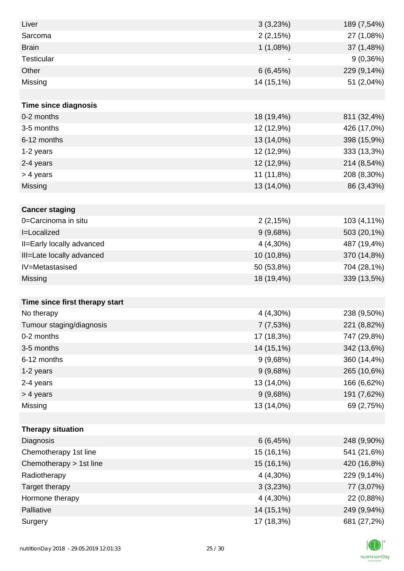| Liver                          | 3(3,23%)   | 189 (7,54%) |
|--------------------------------|------------|-------------|
| Sarcoma                        | 2(2,15%)   | 27 (1,08%)  |
| <b>Brain</b>                   | 1(1,08%)   | 37 (1,48%)  |
| <b>Testicular</b>              |            | 9(0,36%)    |
| Other                          | 6(6, 45%)  | 229 (9,14%) |
| Missing                        | 14 (15,1%) | 51 (2,04%)  |
|                                |            |             |
| <b>Time since diagnosis</b>    |            |             |
| 0-2 months                     | 18 (19,4%) | 811 (32,4%) |
| 3-5 months                     | 12 (12,9%) | 426 (17,0%) |
| 6-12 months                    | 13 (14,0%) | 398 (15,9%) |
| 1-2 years                      | 12 (12,9%) | 333 (13,3%) |
| 2-4 years                      | 12 (12,9%) | 214 (8,54%) |
| > 4 years                      | 11 (11,8%) | 208 (8,30%) |
| Missing                        | 13 (14,0%) | 86 (3,43%)  |
|                                |            |             |
| <b>Cancer staging</b>          |            |             |
| 0=Carcinoma in situ            | 2(2,15%)   | 103 (4,11%) |
| I=Localized                    | 9(9,68%)   | 503 (20,1%) |
| II=Early locally advanced      | 4 (4,30%)  | 487 (19,4%) |
| III=Late locally advanced      | 10 (10,8%) | 370 (14,8%) |
| IV=Metastasised                | 50 (53,8%) | 704 (28,1%) |
| Missing                        | 18 (19,4%) | 339 (13,5%) |
|                                |            |             |
| Time since first therapy start |            |             |
| No therapy                     | 4 (4,30%)  | 238 (9,50%) |
| Tumour staging/diagnosis       | 7 (7,53%)  | 221 (8,82%) |
| 0-2 months                     | 17 (18,3%) | 747 (29,8%) |
| 3-5 months                     | 14 (15,1%) | 342 (13,6%) |
| 6-12 months                    | 9(9,68%)   | 360 (14,4%) |
| 1-2 years                      | 9(9,68%)   | 265 (10,6%) |
| 2-4 years                      | 13 (14,0%) | 166 (6,62%) |
| > 4 years                      | 9(9,68%)   | 191 (7,62%) |
| Missing                        | 13 (14,0%) | 69 (2,75%)  |
|                                |            |             |
| <b>Therapy situation</b>       |            |             |
| Diagnosis                      | 6(6, 45%)  | 248 (9,90%) |
| Chemotherapy 1st line          | 15 (16,1%) | 541 (21,6%) |
| Chemotherapy > 1st line        | 15 (16,1%) | 420 (16,8%) |
| Radiotherapy                   | 4 (4,30%)  | 229 (9,14%) |
| Target therapy                 | 3(3,23%)   | 77 (3,07%)  |
| Hormone therapy                | 4 (4,30%)  | 22 (0,88%)  |
| Palliative                     | 14 (15,1%) | 249 (9,94%) |
| Surgery                        | 17 (18,3%) | 681 (27,2%) |

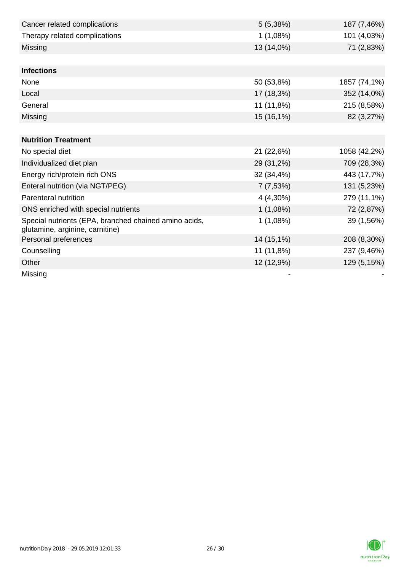| Cancer related complications                                                             | 5(5,38%)   | 187 (7,46%)  |
|------------------------------------------------------------------------------------------|------------|--------------|
| Therapy related complications                                                            | 1(1,08%)   | 101 (4,03%)  |
| Missing                                                                                  | 13 (14,0%) | 71 (2,83%)   |
|                                                                                          |            |              |
| <b>Infections</b>                                                                        |            |              |
| None                                                                                     | 50 (53,8%) | 1857 (74,1%) |
| Local                                                                                    | 17 (18,3%) | 352 (14,0%)  |
| General                                                                                  | 11 (11,8%) | 215 (8,58%)  |
| Missing                                                                                  | 15 (16,1%) | 82 (3,27%)   |
|                                                                                          |            |              |
| <b>Nutrition Treatment</b>                                                               |            |              |
| No special diet                                                                          | 21 (22,6%) | 1058 (42,2%) |
| Individualized diet plan                                                                 | 29 (31,2%) | 709 (28,3%)  |
| Energy rich/protein rich ONS                                                             | 32 (34,4%) | 443 (17,7%)  |
| Enteral nutrition (via NGT/PEG)                                                          | 7(7,53%)   | 131 (5,23%)  |
| Parenteral nutrition                                                                     | 4 (4,30%)  | 279 (11,1%)  |
| ONS enriched with special nutrients                                                      | 1(1,08%)   | 72 (2,87%)   |
| Special nutrients (EPA, branched chained amino acids,<br>glutamine, arginine, carnitine) | 1(1,08%)   | 39 (1,56%)   |
| Personal preferences                                                                     | 14 (15,1%) | 208 (8,30%)  |
| Counselling                                                                              | 11 (11,8%) | 237 (9,46%)  |
| Other                                                                                    | 12 (12,9%) | 129 (5,15%)  |
| Missing                                                                                  |            |              |

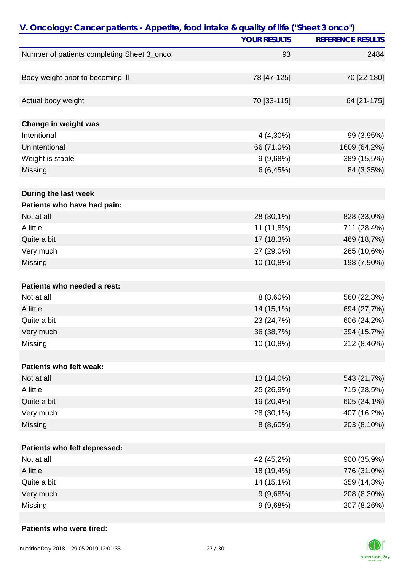| V. Oncology: Cancer patients - Appetite, food intake & quality of life ("Sheet 3 onco") |                     |                          |
|-----------------------------------------------------------------------------------------|---------------------|--------------------------|
|                                                                                         | <b>YOUR RESULTS</b> | <b>REFERENCE RESULTS</b> |
| Number of patients completing Sheet 3_onco:                                             | 93                  | 2484                     |
|                                                                                         |                     |                          |
| Body weight prior to becoming ill                                                       | 78 [47-125]         | 70 [22-180]              |
| Actual body weight                                                                      | 70 [33-115]         | 64 [21-175]              |
| Change in weight was                                                                    |                     |                          |
| Intentional                                                                             | 4 (4,30%)           | 99 (3,95%)               |
| Unintentional                                                                           | 66 (71,0%)          | 1609 (64,2%)             |
| Weight is stable                                                                        | 9(9,68%)            | 389 (15,5%)              |
| Missing                                                                                 | 6(6, 45%)           | 84 (3,35%)               |
|                                                                                         |                     |                          |
| During the last week                                                                    |                     |                          |
| Patients who have had pain:                                                             |                     |                          |
| Not at all                                                                              | 28 (30,1%)          | 828 (33,0%)              |
| A little                                                                                | 11 (11,8%)          | 711 (28,4%)              |
| Quite a bit                                                                             | 17 (18,3%)          | 469 (18,7%)              |
| Very much                                                                               | 27 (29,0%)          | 265 (10,6%)              |
| Missing                                                                                 | 10 (10,8%)          | 198 (7,90%)              |
| Patients who needed a rest:                                                             |                     |                          |
| Not at all                                                                              | $8(8,60\%)$         | 560 (22,3%)              |
| A little                                                                                | 14 (15,1%)          | 694 (27,7%)              |
| Quite a bit                                                                             | 23 (24,7%)          | 606 (24,2%)              |
| Very much                                                                               | 36 (38,7%)          | 394 (15,7%)              |
| Missing                                                                                 | 10 (10,8%)          | 212 (8,46%)              |
| Patients who felt weak:                                                                 |                     |                          |
| Not at all                                                                              | 13 (14,0%)          | 543 (21,7%)              |
| A little                                                                                | 25 (26,9%)          | 715 (28,5%)              |
| Quite a bit                                                                             | 19 (20,4%)          | 605 (24,1%)              |
|                                                                                         |                     |                          |
| Very much                                                                               | 28 (30,1%)          | 407 (16,2%)              |
| Missing                                                                                 | $8(8,60\%)$         | 203 (8,10%)              |
| Patients who felt depressed:                                                            |                     |                          |
| Not at all                                                                              | 42 (45,2%)          | 900 (35,9%)              |
| A little                                                                                | 18 (19,4%)          | 776 (31,0%)              |
| Quite a bit                                                                             | 14 (15,1%)          | 359 (14,3%)              |
| Very much                                                                               | 9(9,68%)            | 208 (8,30%)              |
| Missing                                                                                 | 9(9,68%)            | 207 (8,26%)              |

#### **Patients who were tired:**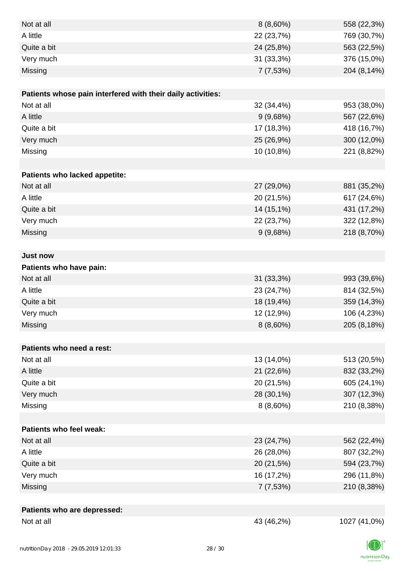| Not at all                                                  | $8(8,60\%)$ | 558 (22,3%)  |
|-------------------------------------------------------------|-------------|--------------|
| A little                                                    | 22 (23,7%)  | 769 (30,7%)  |
| Quite a bit                                                 | 24 (25,8%)  | 563 (22,5%)  |
| Very much                                                   | 31 (33,3%)  | 376 (15,0%)  |
| Missing                                                     | 7(7,53%)    | 204 (8,14%)  |
|                                                             |             |              |
| Patients whose pain interfered with their daily activities: |             |              |
| Not at all                                                  | 32 (34,4%)  | 953 (38,0%)  |
| A little                                                    | 9(9,68%)    | 567 (22,6%)  |
| Quite a bit                                                 | 17 (18,3%)  | 418 (16,7%)  |
| Very much                                                   | 25 (26,9%)  | 300 (12,0%)  |
| Missing                                                     | 10 (10,8%)  | 221 (8,82%)  |
|                                                             |             |              |
| Patients who lacked appetite:                               |             |              |
| Not at all                                                  | 27 (29,0%)  | 881 (35,2%)  |
| A little                                                    | 20 (21,5%)  | 617 (24,6%)  |
| Quite a bit                                                 | 14 (15,1%)  | 431 (17,2%)  |
| Very much                                                   | 22 (23,7%)  | 322 (12,8%)  |
| Missing                                                     | 9(9,68%)    | 218 (8,70%)  |
|                                                             |             |              |
| <b>Just now</b>                                             |             |              |
| Patients who have pain:                                     |             |              |
| Not at all                                                  | 31 (33,3%)  | 993 (39,6%)  |
| A little                                                    | 23 (24,7%)  | 814 (32,5%)  |
| Quite a bit                                                 | 18 (19,4%)  | 359 (14,3%)  |
| Very much                                                   | 12 (12,9%)  | 106 (4,23%)  |
| Missing                                                     | 8 (8,60%)   | 205 (8,18%)  |
|                                                             |             |              |
| Patients who need a rest:                                   |             |              |
| Not at all                                                  | 13 (14,0%)  | 513 (20,5%)  |
| A little                                                    | 21 (22,6%)  | 832 (33,2%)  |
| Quite a bit                                                 | 20 (21,5%)  | 605 (24,1%)  |
| Very much                                                   | 28 (30,1%)  | 307 (12,3%)  |
| Missing                                                     | $8(8,60\%)$ | 210 (8,38%)  |
|                                                             |             |              |
| Patients who feel weak:                                     |             |              |
| Not at all                                                  | 23 (24,7%)  | 562 (22,4%)  |
| A little                                                    | 26 (28,0%)  | 807 (32,2%)  |
| Quite a bit                                                 | 20 (21,5%)  | 594 (23,7%)  |
| Very much                                                   | 16 (17,2%)  | 296 (11,8%)  |
| Missing                                                     | 7(7,53%)    | 210 (8,38%)  |
|                                                             |             |              |
| Patients who are depressed:                                 |             |              |
| Not at all                                                  | 43 (46,2%)  | 1027 (41,0%) |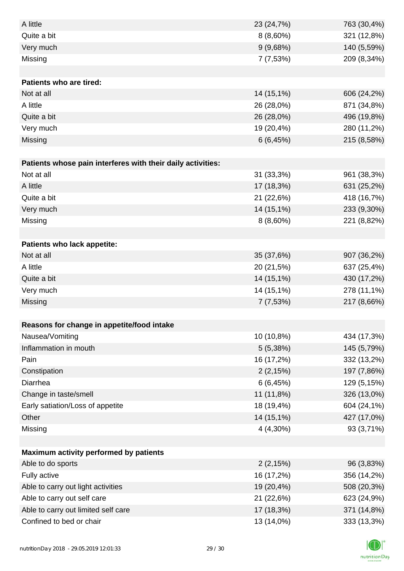| A little                                                    | 23 (24,7%)  | 763 (30,4%) |
|-------------------------------------------------------------|-------------|-------------|
| Quite a bit                                                 | $8(8,60\%)$ | 321 (12,8%) |
| Very much                                                   | 9(9,68%)    | 140 (5,59%) |
| Missing                                                     | 7 (7,53%)   | 209 (8,34%) |
|                                                             |             |             |
| Patients who are tired:                                     |             |             |
| Not at all                                                  | 14 (15,1%)  | 606 (24,2%) |
| A little                                                    | 26 (28,0%)  | 871 (34,8%) |
| Quite a bit                                                 | 26 (28,0%)  | 496 (19,8%) |
| Very much                                                   | 19 (20,4%)  | 280 (11,2%) |
| Missing                                                     | 6(6, 45%)   | 215 (8,58%) |
|                                                             |             |             |
| Patients whose pain interferes with their daily activities: |             |             |
| Not at all                                                  | 31 (33,3%)  | 961 (38,3%) |
| A little                                                    | 17 (18,3%)  | 631 (25,2%) |
| Quite a bit                                                 | 21 (22,6%)  | 418 (16,7%) |
| Very much                                                   | 14 (15,1%)  | 233 (9,30%) |
| Missing                                                     | $8(8,60\%)$ | 221 (8,82%) |
|                                                             |             |             |
| Patients who lack appetite:                                 |             |             |
| Not at all                                                  | 35 (37,6%)  | 907 (36,2%) |
| A little                                                    | 20 (21,5%)  | 637 (25,4%) |
| Quite a bit                                                 | 14 (15,1%)  | 430 (17,2%) |
| Very much                                                   | 14 (15,1%)  | 278 (11,1%) |
| Missing                                                     | 7(7,53%)    | 217 (8,66%) |
|                                                             |             |             |
| Reasons for change in appetite/food intake                  |             |             |
| Nausea/Vomiting                                             | 10 (10,8%)  | 434 (17,3%) |
| Inflammation in mouth                                       | 5(5,38%)    | 145 (5,79%) |
| Pain                                                        | 16 (17,2%)  | 332 (13,2%) |
| Constipation                                                | 2(2,15%)    | 197 (7,86%) |
| Diarrhea                                                    | 6(6, 45%)   | 129 (5,15%) |
| Change in taste/smell                                       | 11 (11,8%)  | 326 (13,0%) |
| Early satiation/Loss of appetite                            | 18 (19,4%)  | 604 (24,1%) |
| Other                                                       | 14 (15,1%)  | 427 (17,0%) |
| Missing                                                     | 4 (4,30%)   | 93 (3,71%)  |
|                                                             |             |             |
| Maximum activity performed by patients                      |             |             |
| Able to do sports                                           | 2(2,15%)    | 96 (3,83%)  |
| Fully active                                                | 16 (17,2%)  | 356 (14,2%) |
| Able to carry out light activities                          | 19 (20,4%)  | 508 (20,3%) |
| Able to carry out self care                                 | 21 (22,6%)  | 623 (24,9%) |
| Able to carry out limited self care                         | 17 (18,3%)  | 371 (14,8%) |
| Confined to bed or chair                                    | 13 (14,0%)  | 333 (13,3%) |